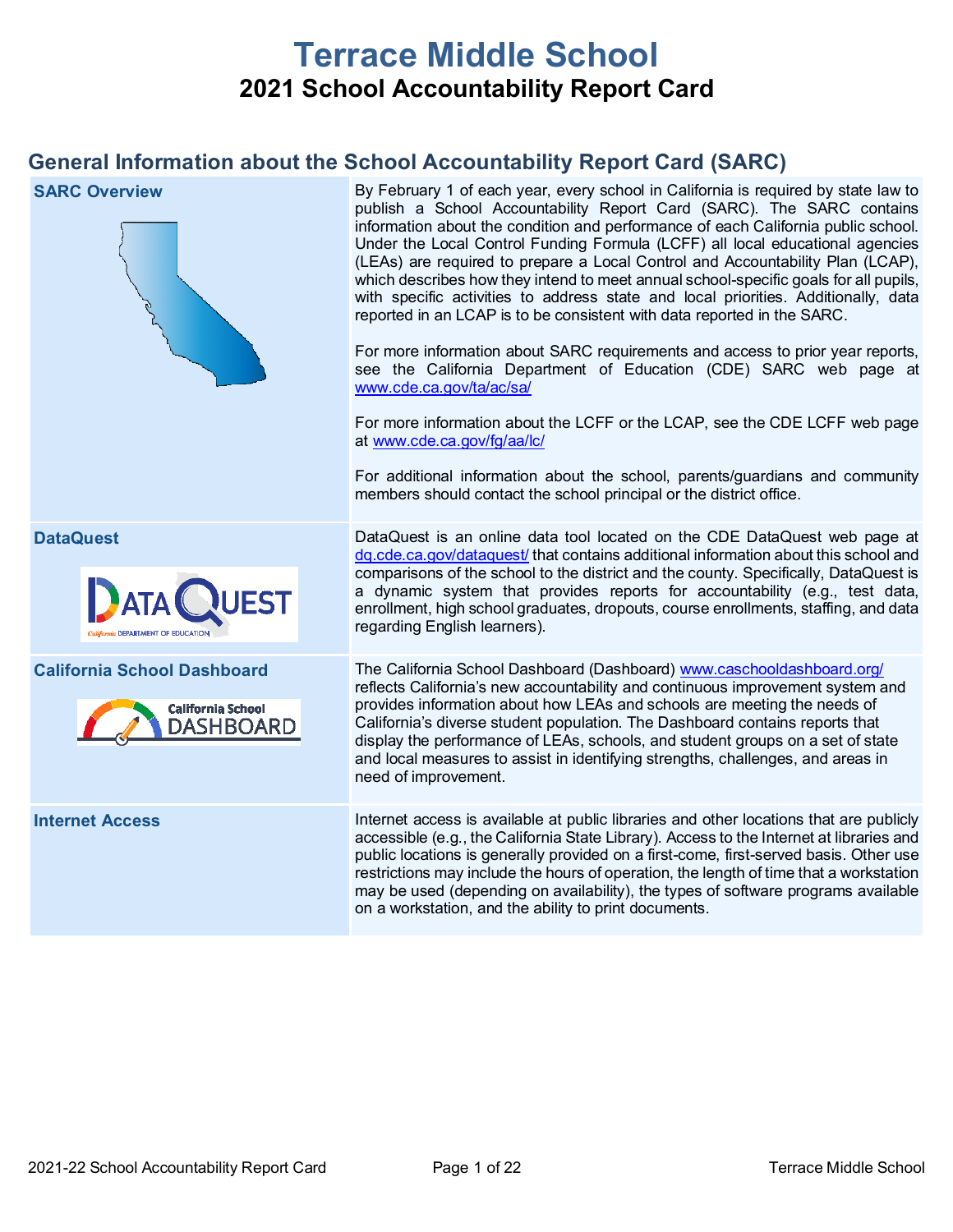# **Terrace Middle School 2021 School Accountability Report Card**

## **General Information about the School Accountability Report Card (SARC)**

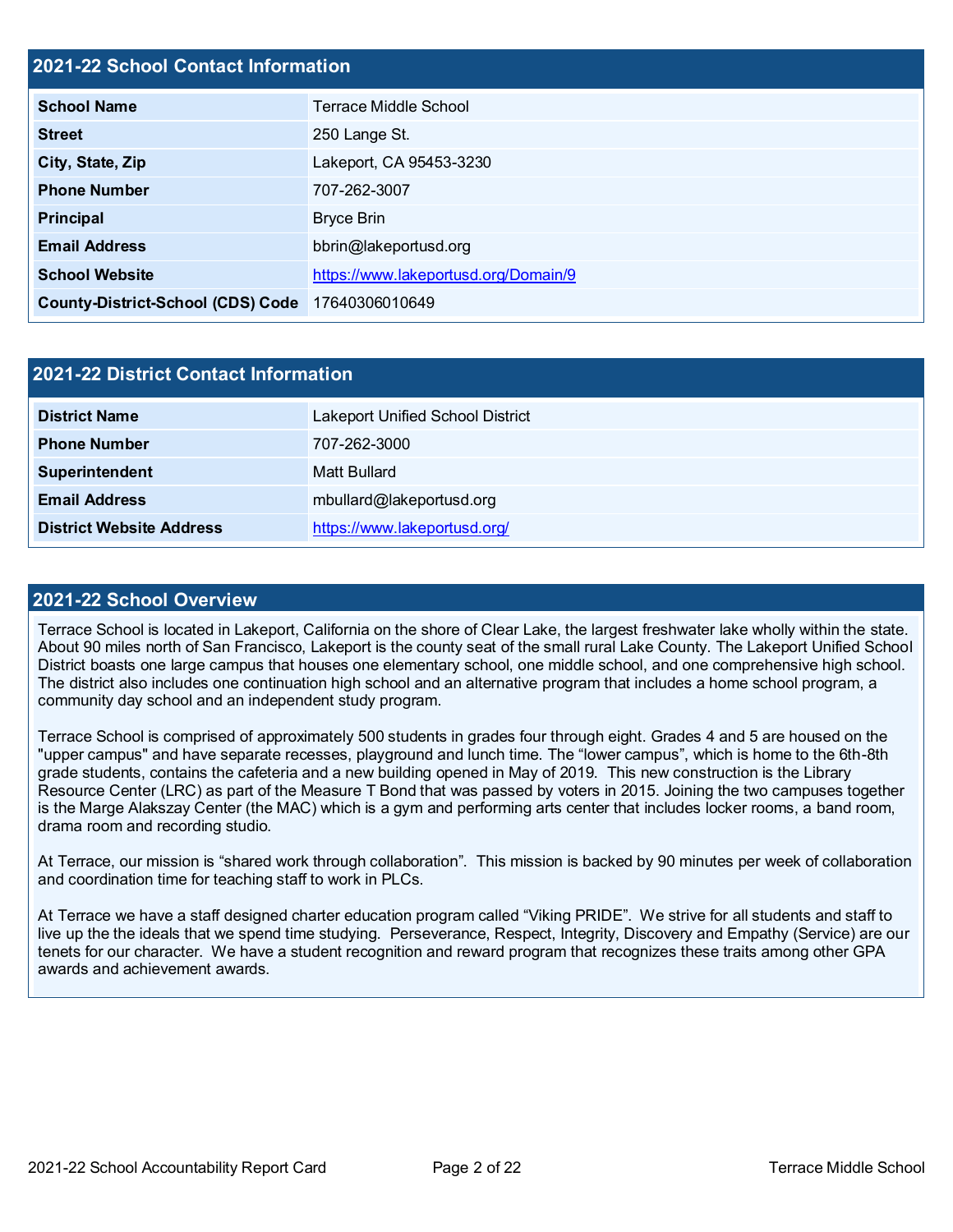#### **2021-22 School Contact Information**

| <b>School Name</b>                       | Terrace Middle School                |
|------------------------------------------|--------------------------------------|
| <b>Street</b>                            | 250 Lange St.                        |
| City, State, Zip                         | Lakeport, CA 95453-3230              |
| <b>Phone Number</b>                      | 707-262-3007                         |
| <b>Principal</b>                         | <b>Bryce Brin</b>                    |
| <b>Email Address</b>                     | bbrin@lakeportusd.org                |
| <b>School Website</b>                    | https://www.lakeportusd.org/Domain/9 |
| <b>County-District-School (CDS) Code</b> | 17640306010649                       |

| 2021-22 District Contact Information |                                         |  |  |  |
|--------------------------------------|-----------------------------------------|--|--|--|
| <b>District Name</b>                 | <b>Lakeport Unified School District</b> |  |  |  |
| <b>Phone Number</b>                  | 707-262-3000                            |  |  |  |
| Superintendent                       | Matt Bullard                            |  |  |  |
| <b>Email Address</b>                 | mbullard@lakeportusd.org                |  |  |  |
| <b>District Website Address</b>      | https://www.lakeportusd.org/            |  |  |  |

#### **2021-22 School Overview**

Terrace School is located in Lakeport, California on the shore of Clear Lake, the largest freshwater lake wholly within the state. About 90 miles north of San Francisco, Lakeport is the county seat of the small rural Lake County. The Lakeport Unified School District boasts one large campus that houses one elementary school, one middle school, and one comprehensive high school. The district also includes one continuation high school and an alternative program that includes a home school program, a community day school and an independent study program.

Terrace School is comprised of approximately 500 students in grades four through eight. Grades 4 and 5 are housed on the "upper campus" and have separate recesses, playground and lunch time. The "lower campus", which is home to the 6th-8th grade students, contains the cafeteria and a new building opened in May of 2019. This new construction is the Library Resource Center (LRC) as part of the Measure T Bond that was passed by voters in 2015. Joining the two campuses together is the Marge Alakszay Center (the MAC) which is a gym and performing arts center that includes locker rooms, a band room, drama room and recording studio.

At Terrace, our mission is "shared work through collaboration". This mission is backed by 90 minutes per week of collaboration and coordination time for teaching staff to work in PLCs.

At Terrace we have a staff designed charter education program called "Viking PRIDE". We strive for all students and staff to live up the the ideals that we spend time studying. Perseverance, Respect, Integrity, Discovery and Empathy (Service) are our tenets for our character. We have a student recognition and reward program that recognizes these traits among other GPA awards and achievement awards.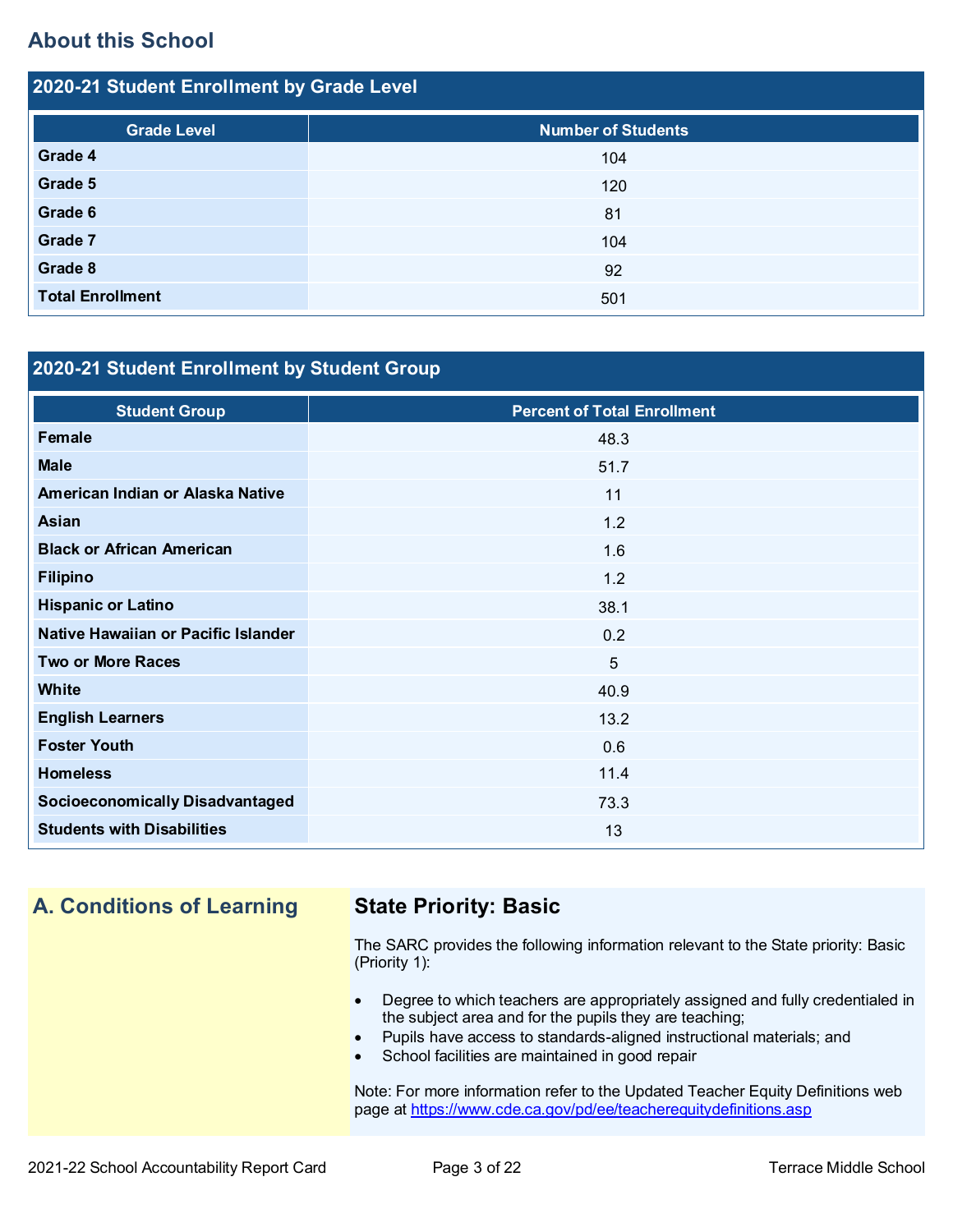## **About this School**

| 2020-21 Student Enrollment by Grade Level |                           |  |  |  |  |
|-------------------------------------------|---------------------------|--|--|--|--|
| <b>Grade Level</b>                        | <b>Number of Students</b> |  |  |  |  |
| Grade 4                                   | 104                       |  |  |  |  |
| Grade 5                                   | 120                       |  |  |  |  |
| Grade 6                                   | 81                        |  |  |  |  |
| Grade 7                                   | 104                       |  |  |  |  |
| Grade 8                                   | 92                        |  |  |  |  |
| <b>Total Enrollment</b>                   | 501                       |  |  |  |  |

## **2020-21 Student Enrollment by Student Group**

| <b>Student Group</b>                   | <b>Percent of Total Enrollment</b> |
|----------------------------------------|------------------------------------|
| Female                                 | 48.3                               |
| <b>Male</b>                            | 51.7                               |
| American Indian or Alaska Native       | 11                                 |
| Asian                                  | 1.2                                |
| <b>Black or African American</b>       | 1.6                                |
| <b>Filipino</b>                        | 1.2                                |
| <b>Hispanic or Latino</b>              | 38.1                               |
| Native Hawaiian or Pacific Islander    | 0.2                                |
| <b>Two or More Races</b>               | $5\phantom{1}$                     |
| <b>White</b>                           | 40.9                               |
| <b>English Learners</b>                | 13.2                               |
| <b>Foster Youth</b>                    | 0.6                                |
| <b>Homeless</b>                        | 11.4                               |
| <b>Socioeconomically Disadvantaged</b> | 73.3                               |
| <b>Students with Disabilities</b>      | 13                                 |

## **A. Conditions of Learning State Priority: Basic**

The SARC provides the following information relevant to the State priority: Basic (Priority 1):

- Degree to which teachers are appropriately assigned and fully credentialed in the subject area and for the pupils they are teaching;
- Pupils have access to standards-aligned instructional materials; and
- School facilities are maintained in good repair

Note: For more information refer to the Updated Teacher Equity Definitions web page at<https://www.cde.ca.gov/pd/ee/teacherequitydefinitions.asp>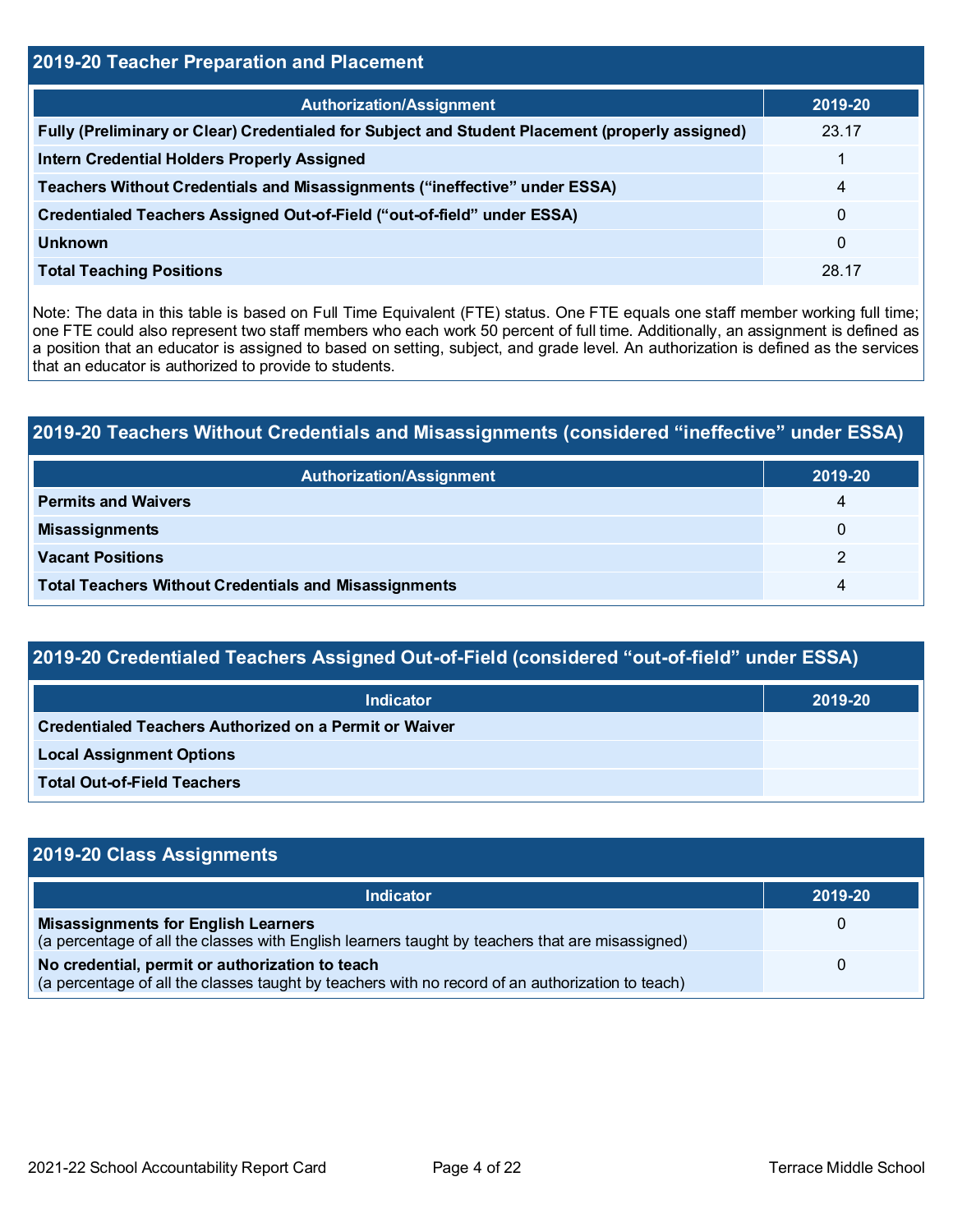# **2019-20 Teacher Preparation and Placement Authorization/Assignment 2019-20 Fully (Preliminary or Clear) Credentialed for Subject and Student Placement (properly assigned)** 23.17 **Intern Credential Holders Properly Assigned** 1 **Teachers Without Credentials and Misassignments ("ineffective" under ESSA)** 4 **Credentialed Teachers Assigned Out-of-Field ("out-of-field" under ESSA)** 0 **Unknown** 0 **Total Teaching Positions** 28.17

Note: The data in this table is based on Full Time Equivalent (FTE) status. One FTE equals one staff member working full time; one FTE could also represent two staff members who each work 50 percent of full time. Additionally, an assignment is defined as a position that an educator is assigned to based on setting, subject, and grade level. An authorization is defined as the services that an educator is authorized to provide to students.

## **2019-20 Teachers Without Credentials and Misassignments (considered "ineffective" under ESSA)**

| <b>Authorization/Assignment</b>                              | 2019-20  |
|--------------------------------------------------------------|----------|
| <b>Permits and Waivers</b>                                   | 4        |
| <b>Misassignments</b>                                        | $\Omega$ |
| <b>Vacant Positions</b>                                      |          |
| <b>Total Teachers Without Credentials and Misassignments</b> | 4        |

# **2019-20 Credentialed Teachers Assigned Out-of-Field (considered "out-of-field" under ESSA)**

| <b>Indicator</b>                                       | 2019-20 |
|--------------------------------------------------------|---------|
| Credentialed Teachers Authorized on a Permit or Waiver |         |
| <b>Local Assignment Options</b>                        |         |
| <b>Total Out-of-Field Teachers</b>                     |         |

#### **2019-20 Class Assignments Indicator 2019-20 Misassignments for English Learners** (a percentage of all the classes with English learners taught by teachers that are misassigned)  $\Omega$ **No credential, permit or authorization to teach** (a percentage of all the classes taught by teachers with no record of an authorization to teach) 0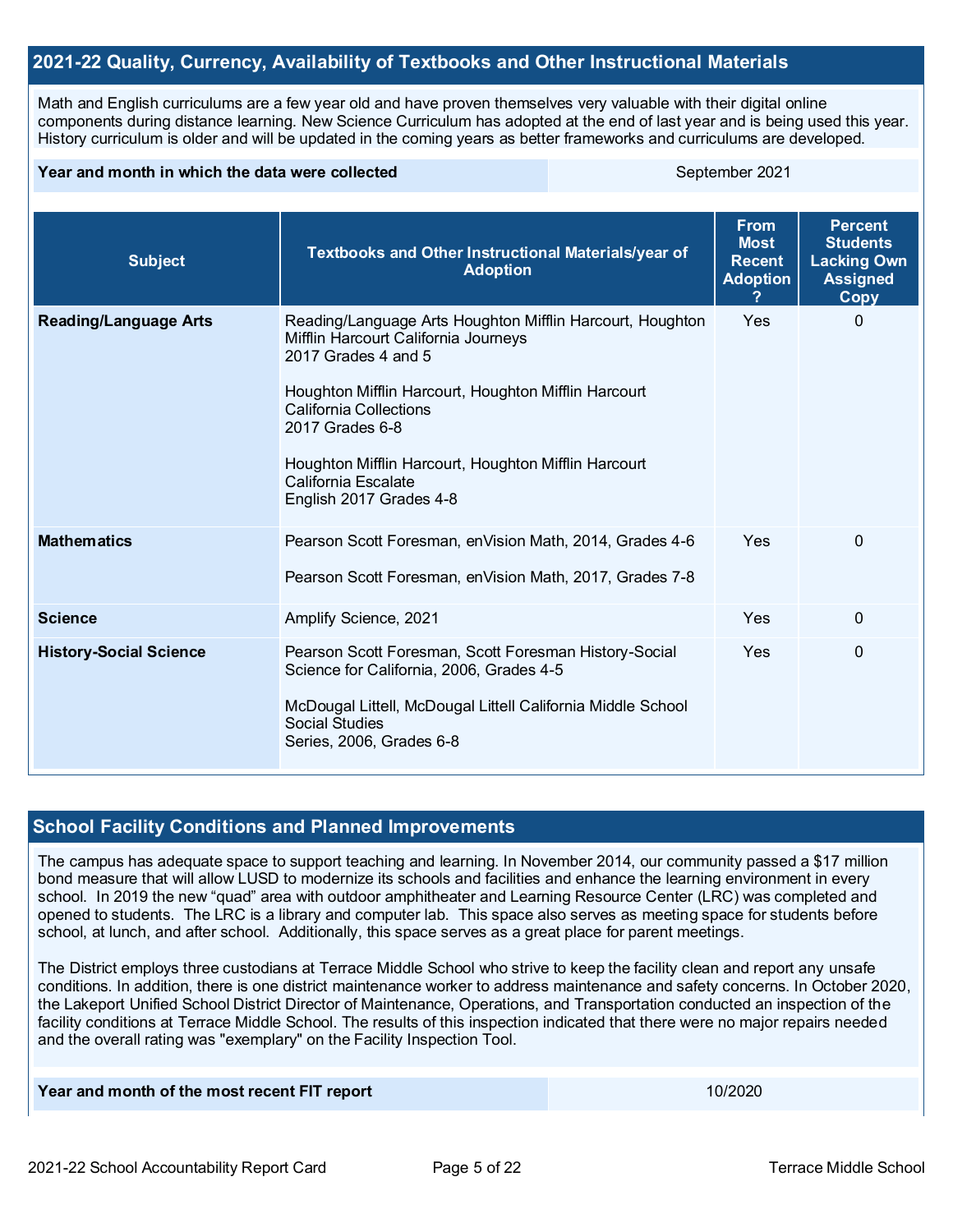#### **2021-22 Quality, Currency, Availability of Textbooks and Other Instructional Materials**

Math and English curriculums are a few year old and have proven themselves very valuable with their digital online components during distance learning. New Science Curriculum has adopted at the end of last year and is being used this year. History curriculum is older and will be updated in the coming years as better frameworks and curriculums are developed.

#### **Year and month in which the data were collected September 2021** September 2021

| <b>Subject</b>                | Textbooks and Other Instructional Materials/year of<br><b>Adoption</b>                                                                                                                                                                                                                                                                         | <b>From</b><br><b>Most</b><br><b>Recent</b><br><b>Adoption</b> | <b>Percent</b><br><b>Students</b><br><b>Lacking Own</b><br><b>Assigned</b><br>Copy |
|-------------------------------|------------------------------------------------------------------------------------------------------------------------------------------------------------------------------------------------------------------------------------------------------------------------------------------------------------------------------------------------|----------------------------------------------------------------|------------------------------------------------------------------------------------|
| <b>Reading/Language Arts</b>  | Reading/Language Arts Houghton Mifflin Harcourt, Houghton<br>Mifflin Harcourt California Journeys<br>2017 Grades 4 and 5<br>Houghton Mifflin Harcourt, Houghton Mifflin Harcourt<br><b>California Collections</b><br>2017 Grades 6-8<br>Houghton Mifflin Harcourt, Houghton Mifflin Harcourt<br>California Escalate<br>English 2017 Grades 4-8 | <b>Yes</b>                                                     | 0                                                                                  |
| <b>Mathematics</b>            | Pearson Scott Foresman, enVision Math, 2014, Grades 4-6<br>Pearson Scott Foresman, en Vision Math, 2017, Grades 7-8                                                                                                                                                                                                                            | <b>Yes</b>                                                     | $\mathbf{0}$                                                                       |
| <b>Science</b>                | Amplify Science, 2021                                                                                                                                                                                                                                                                                                                          | Yes                                                            | $\mathbf{0}$                                                                       |
| <b>History-Social Science</b> | Pearson Scott Foresman, Scott Foresman History-Social<br>Science for California, 2006, Grades 4-5<br>McDougal Littell, McDougal Littell California Middle School<br><b>Social Studies</b><br>Series, 2006, Grades 6-8                                                                                                                          | Yes                                                            | 0                                                                                  |

#### **School Facility Conditions and Planned Improvements**

The campus has adequate space to support teaching and learning. In November 2014, our community passed a \$17 million bond measure that will allow LUSD to modernize its schools and facilities and enhance the learning environment in every school. In 2019 the new "quad" area with outdoor amphitheater and Learning Resource Center (LRC) was completed and opened to students. The LRC is a library and computer lab. This space also serves as meeting space for students before school, at lunch, and after school. Additionally, this space serves as a great place for parent meetings.

The District employs three custodians at Terrace Middle School who strive to keep the facility clean and report any unsafe conditions. In addition, there is one district maintenance worker to address maintenance and safety concerns. In October 2020, the Lakeport Unified School District Director of Maintenance, Operations, and Transportation conducted an inspection of the facility conditions at Terrace Middle School. The results of this inspection indicated that there were no major repairs needed and the overall rating was "exemplary" on the Facility Inspection Tool.

#### **Year and month of the most recent FIT report** 10/2020 **10/2020**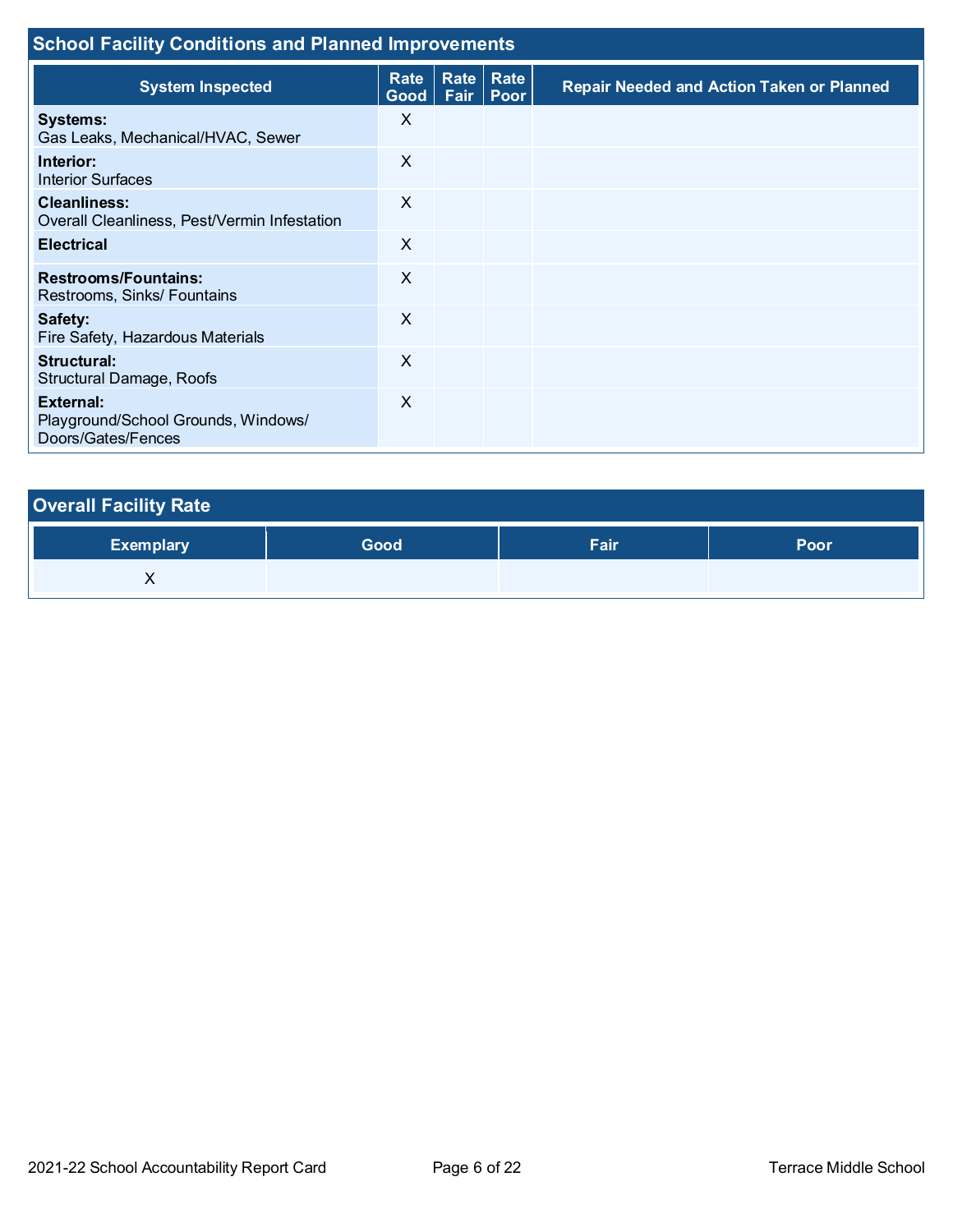| <b>School Facility Conditions and Planned Improvements</b>             |                     |             |                           |                                                  |  |  |  |
|------------------------------------------------------------------------|---------------------|-------------|---------------------------|--------------------------------------------------|--|--|--|
| <b>System Inspected</b>                                                | Rate<br>Good   Fair | <b>Rate</b> | Rate<br>Poor <sup>'</sup> | <b>Repair Needed and Action Taken or Planned</b> |  |  |  |
| <b>Systems:</b><br>Gas Leaks, Mechanical/HVAC, Sewer                   | X                   |             |                           |                                                  |  |  |  |
| Interior:<br><b>Interior Surfaces</b>                                  | X                   |             |                           |                                                  |  |  |  |
| <b>Cleanliness:</b><br>Overall Cleanliness, Pest/Vermin Infestation    | X                   |             |                           |                                                  |  |  |  |
| <b>Electrical</b>                                                      | $\times$            |             |                           |                                                  |  |  |  |
| <b>Restrooms/Fountains:</b><br>Restrooms, Sinks/ Fountains             | X                   |             |                           |                                                  |  |  |  |
| Safety:<br>Fire Safety, Hazardous Materials                            | X                   |             |                           |                                                  |  |  |  |
| Structural:<br>Structural Damage, Roofs                                | $\times$            |             |                           |                                                  |  |  |  |
| External:<br>Playground/School Grounds, Windows/<br>Doors/Gates/Fences | $\times$            |             |                           |                                                  |  |  |  |

| <b>Overall Facility Rate</b> |      |      |      |
|------------------------------|------|------|------|
| <b>Exemplary</b>             | Good | Fair | Poor |
|                              |      |      |      |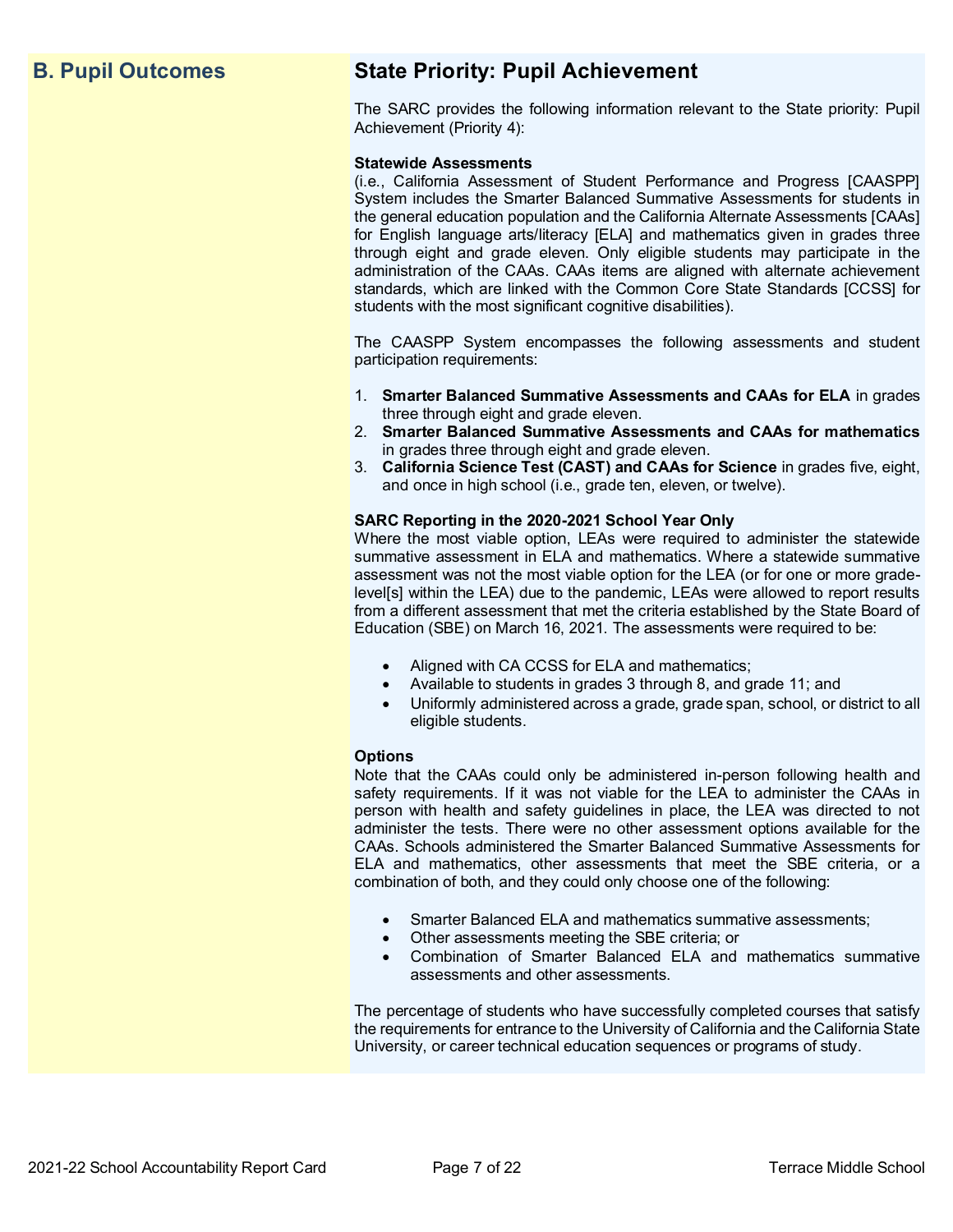## **B. Pupil Outcomes State Priority: Pupil Achievement**

The SARC provides the following information relevant to the State priority: Pupil Achievement (Priority 4):

#### **Statewide Assessments**

(i.e., California Assessment of Student Performance and Progress [CAASPP] System includes the Smarter Balanced Summative Assessments for students in the general education population and the California Alternate Assessments [CAAs] for English language arts/literacy [ELA] and mathematics given in grades three through eight and grade eleven. Only eligible students may participate in the administration of the CAAs. CAAs items are aligned with alternate achievement standards, which are linked with the Common Core State Standards [CCSS] for students with the most significant cognitive disabilities).

The CAASPP System encompasses the following assessments and student participation requirements:

- 1. **Smarter Balanced Summative Assessments and CAAs for ELA** in grades three through eight and grade eleven.
- 2. **Smarter Balanced Summative Assessments and CAAs for mathematics** in grades three through eight and grade eleven.
- 3. **California Science Test (CAST) and CAAs for Science** in grades five, eight, and once in high school (i.e., grade ten, eleven, or twelve).

#### **SARC Reporting in the 2020-2021 School Year Only**

Where the most viable option, LEAs were required to administer the statewide summative assessment in ELA and mathematics. Where a statewide summative assessment was not the most viable option for the LEA (or for one or more gradelevel[s] within the LEA) due to the pandemic, LEAs were allowed to report results from a different assessment that met the criteria established by the State Board of Education (SBE) on March 16, 2021. The assessments were required to be:

- Aligned with CA CCSS for ELA and mathematics;
- Available to students in grades 3 through 8, and grade 11; and
- Uniformly administered across a grade, grade span, school, or district to all eligible students.

#### **Options**

Note that the CAAs could only be administered in-person following health and safety requirements. If it was not viable for the LEA to administer the CAAs in person with health and safety guidelines in place, the LEA was directed to not administer the tests. There were no other assessment options available for the CAAs. Schools administered the Smarter Balanced Summative Assessments for ELA and mathematics, other assessments that meet the SBE criteria, or a combination of both, and they could only choose one of the following:

- Smarter Balanced ELA and mathematics summative assessments;
- Other assessments meeting the SBE criteria; or
- Combination of Smarter Balanced ELA and mathematics summative assessments and other assessments.

The percentage of students who have successfully completed courses that satisfy the requirements for entrance to the University of California and the California State University, or career technical education sequences or programs of study.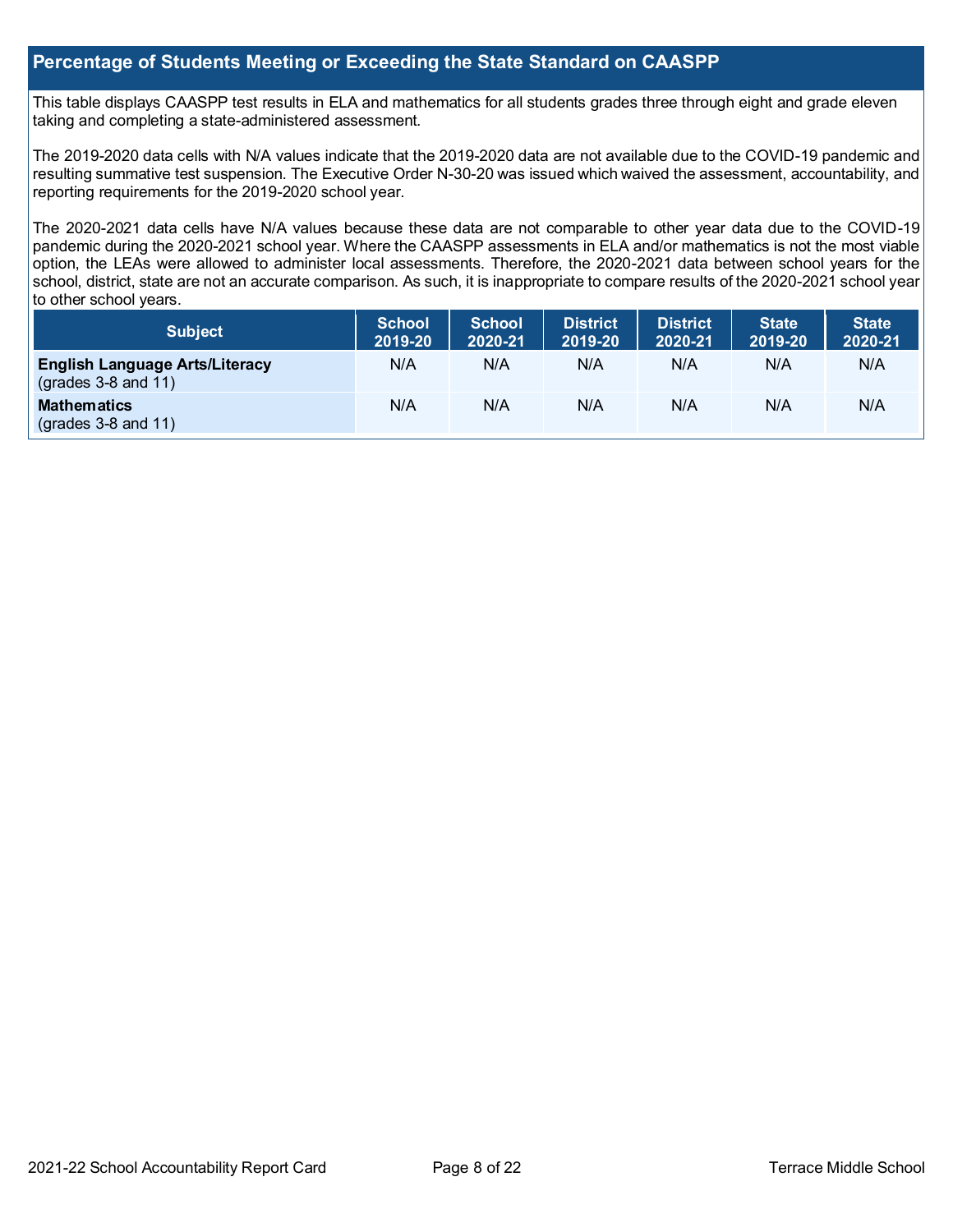#### **Percentage of Students Meeting or Exceeding the State Standard on CAASPP**

This table displays CAASPP test results in ELA and mathematics for all students grades three through eight and grade eleven taking and completing a state-administered assessment.

The 2019-2020 data cells with N/A values indicate that the 2019-2020 data are not available due to the COVID-19 pandemic and resulting summative test suspension. The Executive Order N-30-20 was issued which waived the assessment, accountability, and reporting requirements for the 2019-2020 school year.

The 2020-2021 data cells have N/A values because these data are not comparable to other year data due to the COVID-19 pandemic during the 2020-2021 school year. Where the CAASPP assessments in ELA and/or mathematics is not the most viable option, the LEAs were allowed to administer local assessments. Therefore, the 2020-2021 data between school years for the school, district, state are not an accurate comparison. As such, it is inappropriate to compare results of the 2020-2021 school year to other school years.

| <b>Subject</b>                                                       | <b>School</b><br>2019-20 | <b>School</b><br>2020-21 | <b>District</b><br>2019-20 | <b>District</b><br>2020-21 | <b>State</b><br>2019-20 | <b>State</b><br>2020-21 |
|----------------------------------------------------------------------|--------------------------|--------------------------|----------------------------|----------------------------|-------------------------|-------------------------|
| <b>English Language Arts/Literacy</b><br>$\left($ grades 3-8 and 11) | N/A                      | N/A                      | N/A                        | N/A                        | N/A                     | N/A                     |
| <b>Mathematics</b><br>$(grades 3-8 and 11)$                          | N/A                      | N/A                      | N/A                        | N/A                        | N/A                     | N/A                     |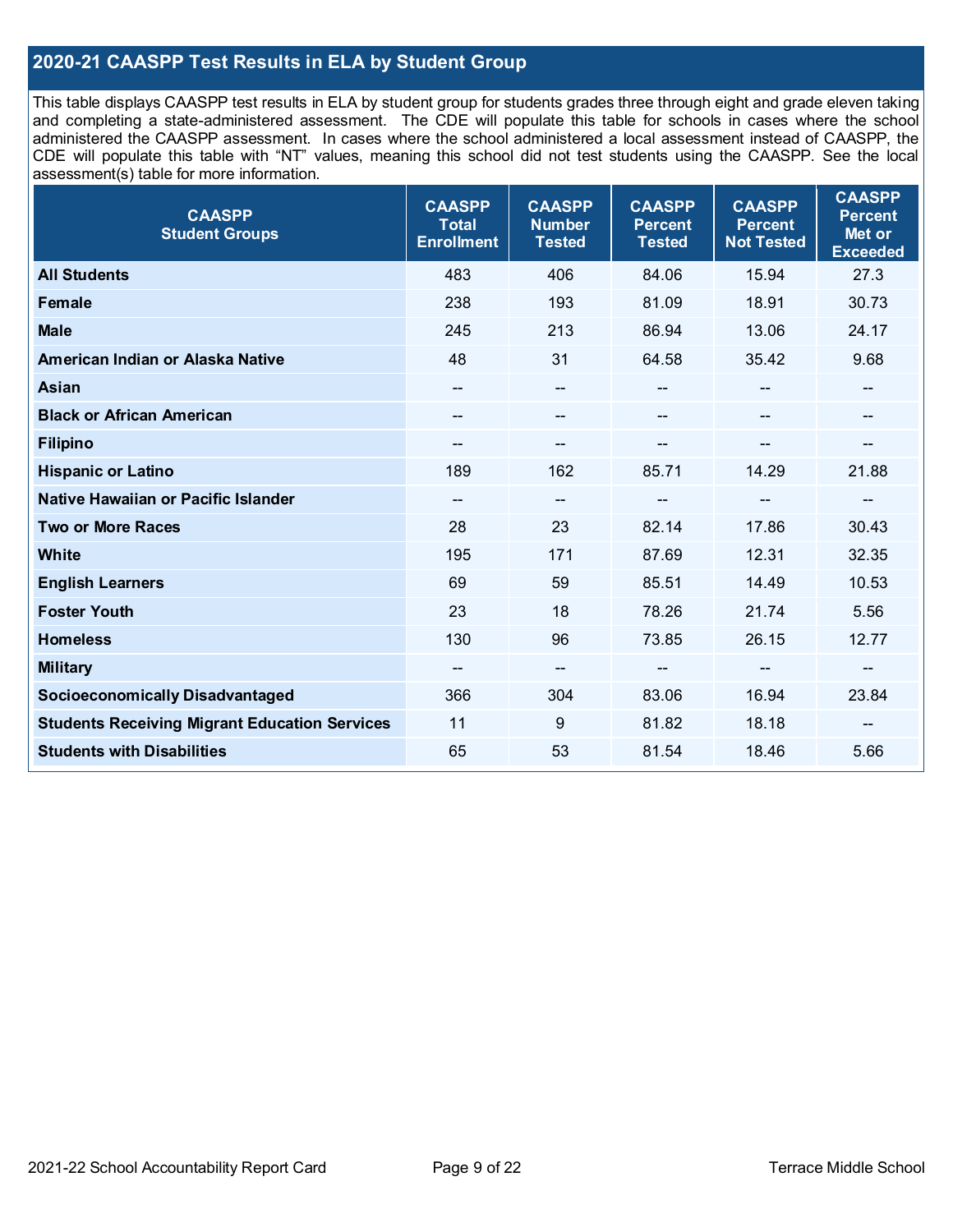## **2020-21 CAASPP Test Results in ELA by Student Group**

This table displays CAASPP test results in ELA by student group for students grades three through eight and grade eleven taking and completing a state-administered assessment. The CDE will populate this table for schools in cases where the school administered the CAASPP assessment. In cases where the school administered a local assessment instead of CAASPP, the CDE will populate this table with "NT" values, meaning this school did not test students using the CAASPP. See the local assessment(s) table for more information.

| <b>CAASPP</b><br><b>Student Groups</b>               | <b>CAASPP</b><br><b>Total</b><br><b>Enrollment</b> | <b>CAASPP</b><br><b>Number</b><br><b>Tested</b> | <b>CAASPP</b><br><b>Percent</b><br><b>Tested</b> | <b>CAASPP</b><br><b>Percent</b><br><b>Not Tested</b> | <b>CAASPP</b><br><b>Percent</b><br>Met or<br><b>Exceeded</b> |
|------------------------------------------------------|----------------------------------------------------|-------------------------------------------------|--------------------------------------------------|------------------------------------------------------|--------------------------------------------------------------|
| <b>All Students</b>                                  | 483                                                | 406                                             | 84.06                                            | 15.94                                                | 27.3                                                         |
| Female                                               | 238                                                | 193                                             | 81.09                                            | 18.91                                                | 30.73                                                        |
| <b>Male</b>                                          | 245                                                | 213                                             | 86.94                                            | 13.06                                                | 24.17                                                        |
| American Indian or Alaska Native                     | 48                                                 | 31                                              | 64.58                                            | 35.42                                                | 9.68                                                         |
| Asian                                                | $\overline{\phantom{a}}$                           | $-$                                             |                                                  |                                                      | --                                                           |
| <b>Black or African American</b>                     |                                                    | --                                              |                                                  |                                                      | --                                                           |
| <b>Filipino</b>                                      |                                                    | $-$                                             |                                                  | --                                                   | --                                                           |
| <b>Hispanic or Latino</b>                            | 189                                                | 162                                             | 85.71                                            | 14.29                                                | 21.88                                                        |
| Native Hawaiian or Pacific Islander                  | $\hspace{0.05cm}$ – $\hspace{0.05cm}$              | $\hspace{0.05cm}$ $\hspace{0.05cm}$             | $-$                                              | $-$                                                  | --                                                           |
| <b>Two or More Races</b>                             | 28                                                 | 23                                              | 82.14                                            | 17.86                                                | 30.43                                                        |
| <b>White</b>                                         | 195                                                | 171                                             | 87.69                                            | 12.31                                                | 32.35                                                        |
| <b>English Learners</b>                              | 69                                                 | 59                                              | 85.51                                            | 14.49                                                | 10.53                                                        |
| <b>Foster Youth</b>                                  | 23                                                 | 18                                              | 78.26                                            | 21.74                                                | 5.56                                                         |
| <b>Homeless</b>                                      | 130                                                | 96                                              | 73.85                                            | 26.15                                                | 12.77                                                        |
| <b>Military</b>                                      |                                                    | $-$                                             |                                                  | --                                                   | $\hspace{0.05cm}$ – $\hspace{0.05cm}$                        |
| <b>Socioeconomically Disadvantaged</b>               | 366                                                | 304                                             | 83.06                                            | 16.94                                                | 23.84                                                        |
| <b>Students Receiving Migrant Education Services</b> | 11                                                 | 9                                               | 81.82                                            | 18.18                                                | --                                                           |
| <b>Students with Disabilities</b>                    | 65                                                 | 53                                              | 81.54                                            | 18.46                                                | 5.66                                                         |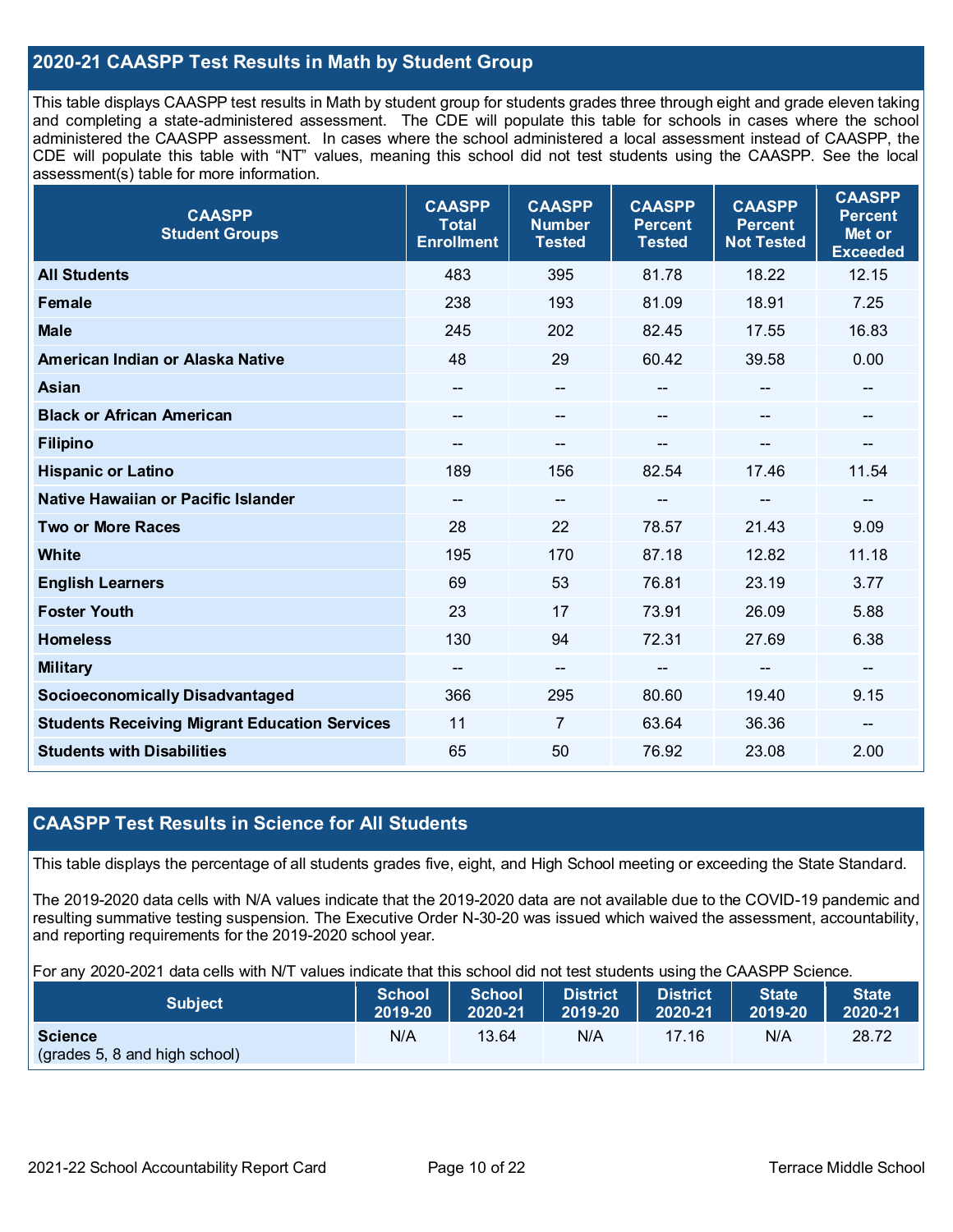### **2020-21 CAASPP Test Results in Math by Student Group**

This table displays CAASPP test results in Math by student group for students grades three through eight and grade eleven taking and completing a state-administered assessment. The CDE will populate this table for schools in cases where the school administered the CAASPP assessment. In cases where the school administered a local assessment instead of CAASPP, the CDE will populate this table with "NT" values, meaning this school did not test students using the CAASPP. See the local assessment(s) table for more information.

| <b>CAASPP</b><br><b>Student Groups</b>               | <b>CAASPP</b><br><b>Total</b><br><b>Enrollment</b> | <b>CAASPP</b><br><b>Number</b><br><b>Tested</b> | <b>CAASPP</b><br><b>Percent</b><br><b>Tested</b> | <b>CAASPP</b><br><b>Percent</b><br><b>Not Tested</b> | <b>CAASPP</b><br><b>Percent</b><br>Met or<br><b>Exceeded</b> |
|------------------------------------------------------|----------------------------------------------------|-------------------------------------------------|--------------------------------------------------|------------------------------------------------------|--------------------------------------------------------------|
| <b>All Students</b>                                  | 483                                                | 395                                             | 81.78                                            | 18.22                                                | 12.15                                                        |
| Female                                               | 238                                                | 193                                             | 81.09                                            | 18.91                                                | 7.25                                                         |
| <b>Male</b>                                          | 245                                                | 202                                             | 82.45                                            | 17.55                                                | 16.83                                                        |
| American Indian or Alaska Native                     | 48                                                 | 29                                              | 60.42                                            | 39.58                                                | 0.00                                                         |
| Asian                                                |                                                    | --                                              |                                                  |                                                      |                                                              |
| <b>Black or African American</b>                     | $\overline{\phantom{a}}$                           | $\hspace{0.05cm}$ $\hspace{0.05cm}$             | $\qquad \qquad \blacksquare$                     | $\mathbf{m}$                                         | $\qquad \qquad -$                                            |
| <b>Filipino</b>                                      | --                                                 | --                                              | --                                               |                                                      | $-$                                                          |
| <b>Hispanic or Latino</b>                            | 189                                                | 156                                             | 82.54                                            | 17.46                                                | 11.54                                                        |
| Native Hawaiian or Pacific Islander                  | --                                                 | $\hspace{0.05cm}$ – $\hspace{0.05cm}$           | --                                               | $\overline{\phantom{m}}$                             | $\qquad \qquad -$                                            |
| <b>Two or More Races</b>                             | 28                                                 | 22                                              | 78.57                                            | 21.43                                                | 9.09                                                         |
| <b>White</b>                                         | 195                                                | 170                                             | 87.18                                            | 12.82                                                | 11.18                                                        |
| <b>English Learners</b>                              | 69                                                 | 53                                              | 76.81                                            | 23.19                                                | 3.77                                                         |
| <b>Foster Youth</b>                                  | 23                                                 | 17                                              | 73.91                                            | 26.09                                                | 5.88                                                         |
| <b>Homeless</b>                                      | 130                                                | 94                                              | 72.31                                            | 27.69                                                | 6.38                                                         |
| <b>Military</b>                                      | --                                                 | --                                              | --                                               | --                                                   | --                                                           |
| <b>Socioeconomically Disadvantaged</b>               | 366                                                | 295                                             | 80.60                                            | 19.40                                                | 9.15                                                         |
| <b>Students Receiving Migrant Education Services</b> | 11                                                 | $\overline{7}$                                  | 63.64                                            | 36.36                                                | --                                                           |
| <b>Students with Disabilities</b>                    | 65                                                 | 50                                              | 76.92                                            | 23.08                                                | 2.00                                                         |

#### **CAASPP Test Results in Science for All Students**

This table displays the percentage of all students grades five, eight, and High School meeting or exceeding the State Standard.

The 2019-2020 data cells with N/A values indicate that the 2019-2020 data are not available due to the COVID-19 pandemic and resulting summative testing suspension. The Executive Order N-30-20 was issued which waived the assessment, accountability, and reporting requirements for the 2019-2020 school year.

For any 2020-2021 data cells with N/T values indicate that this school did not test students using the CAASPP Science.

| <b>Subject</b>                                  | School  | <b>School</b> | <b>District</b> | <b>District</b> | <b>State</b> | <b>State</b> |
|-------------------------------------------------|---------|---------------|-----------------|-----------------|--------------|--------------|
|                                                 | 2019-20 | 2020-21       | 2019-20         | $2020 - 21$     | 2019-20      | 2020-21      |
| <b>Science</b><br>(grades 5, 8 and high school) | N/A     | 13.64         | N/A             | 17.16           | N/A          | 28.72        |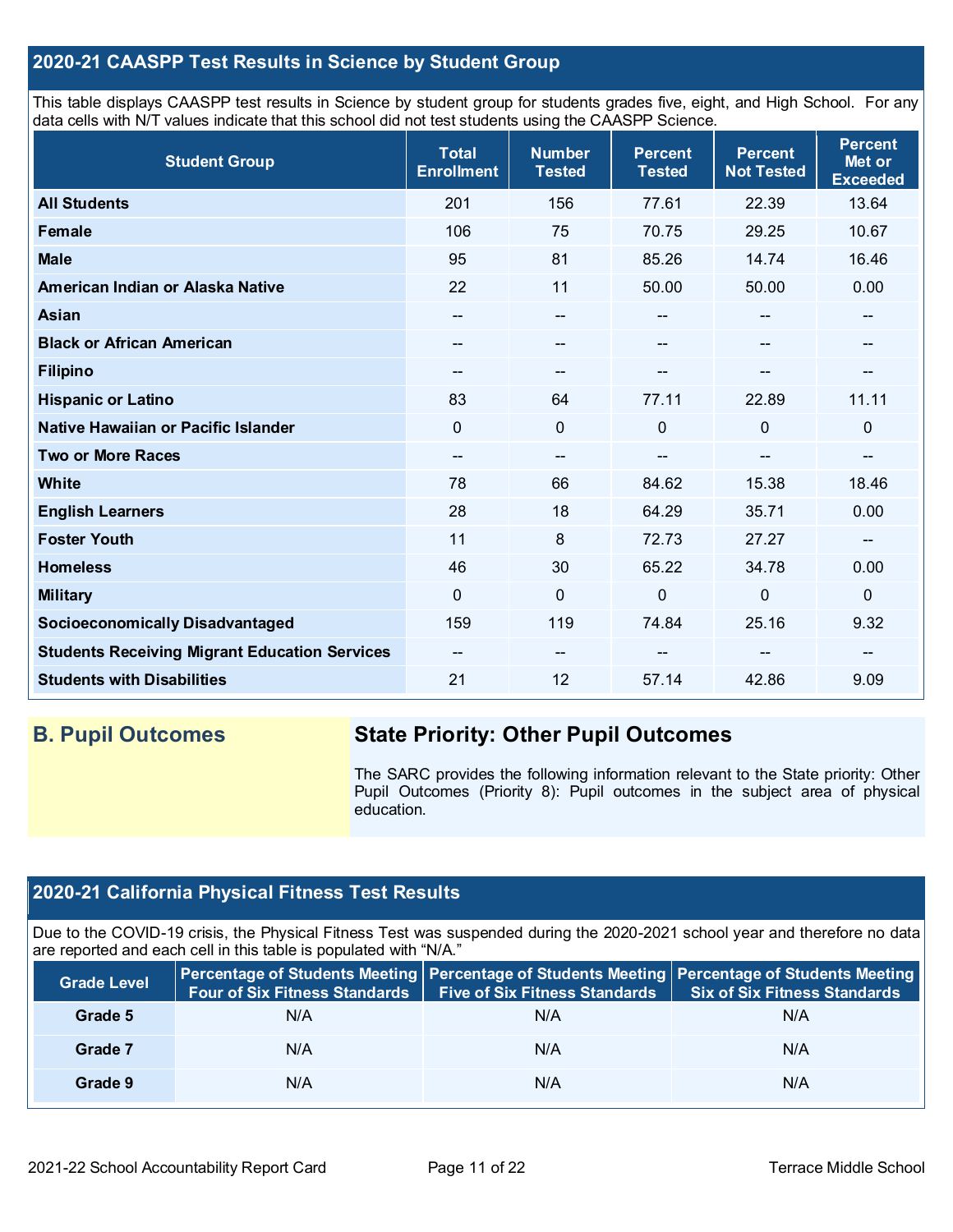## **2020-21 CAASPP Test Results in Science by Student Group**

This table displays CAASPP test results in Science by student group for students grades five, eight, and High School. For any data cells with N/T values indicate that this school did not test students using the CAASPP Science.

| <b>Student Group</b>                                 | <b>Total</b><br><b>Enrollment</b> | <b>Number</b><br><b>Tested</b>        | <b>Percent</b><br><b>Tested</b> | <b>Percent</b><br><b>Not Tested</b> | <b>Percent</b><br>Met or<br><b>Exceeded</b> |
|------------------------------------------------------|-----------------------------------|---------------------------------------|---------------------------------|-------------------------------------|---------------------------------------------|
| <b>All Students</b>                                  | 201                               | 156                                   | 77.61                           | 22.39                               | 13.64                                       |
| Female                                               | 106                               | 75                                    | 70.75                           | 29.25                               | 10.67                                       |
| <b>Male</b>                                          | 95                                | 81                                    | 85.26                           | 14.74                               | 16.46                                       |
| American Indian or Alaska Native                     | 22                                | 11                                    | 50.00                           | 50.00                               | 0.00                                        |
| <b>Asian</b>                                         | $\overline{\phantom{a}}$          | $\hspace{0.05cm}$ – $\hspace{0.05cm}$ | --                              | --                                  | --                                          |
| <b>Black or African American</b>                     | --                                | --                                    | --                              | --                                  | --                                          |
| <b>Filipino</b>                                      | --                                | --                                    |                                 |                                     | --                                          |
| <b>Hispanic or Latino</b>                            | 83                                | 64                                    | 77.11                           | 22.89                               | 11.11                                       |
| Native Hawaiian or Pacific Islander                  | 0                                 | 0                                     | $\mathbf{0}$                    | 0                                   | 0                                           |
| <b>Two or More Races</b>                             | $-$                               | $\hspace{0.05cm}$ – $\hspace{0.05cm}$ | $-$                             | $\qquad \qquad \blacksquare$        | --                                          |
| White                                                | 78                                | 66                                    | 84.62                           | 15.38                               | 18.46                                       |
| <b>English Learners</b>                              | 28                                | 18                                    | 64.29                           | 35.71                               | 0.00                                        |
| <b>Foster Youth</b>                                  | 11                                | 8                                     | 72.73                           | 27.27                               | --                                          |
| <b>Homeless</b>                                      | 46                                | 30                                    | 65.22                           | 34.78                               | 0.00                                        |
| <b>Military</b>                                      | $\Omega$                          | $\mathbf 0$                           | 0                               | $\mathbf 0$                         | 0                                           |
| <b>Socioeconomically Disadvantaged</b>               | 159                               | 119                                   | 74.84                           | 25.16                               | 9.32                                        |
| <b>Students Receiving Migrant Education Services</b> | $\overline{\phantom{a}}$          | --                                    |                                 | --                                  |                                             |
| <b>Students with Disabilities</b>                    | 21                                | 12                                    | 57.14                           | 42.86                               | 9.09                                        |

## **B. Pupil Outcomes State Priority: Other Pupil Outcomes**

The SARC provides the following information relevant to the State priority: Other Pupil Outcomes (Priority 8): Pupil outcomes in the subject area of physical education.

## **2020-21 California Physical Fitness Test Results**

Due to the COVID-19 crisis, the Physical Fitness Test was suspended during the 2020-2021 school year and therefore no data are reported and each cell in this table is populated with "N/A."

| <b>Grade Level</b> | Four of Six Fitness Standards   Five of Six Fitness Standards |     | Percentage of Students Meeting   Percentage of Students Meeting   Percentage of Students Meeting<br><b>Six of Six Fitness Standards</b> |
|--------------------|---------------------------------------------------------------|-----|-----------------------------------------------------------------------------------------------------------------------------------------|
| Grade 5            | N/A                                                           | N/A | N/A                                                                                                                                     |
| Grade 7            | N/A                                                           | N/A | N/A                                                                                                                                     |
| Grade 9            | N/A                                                           | N/A | N/A                                                                                                                                     |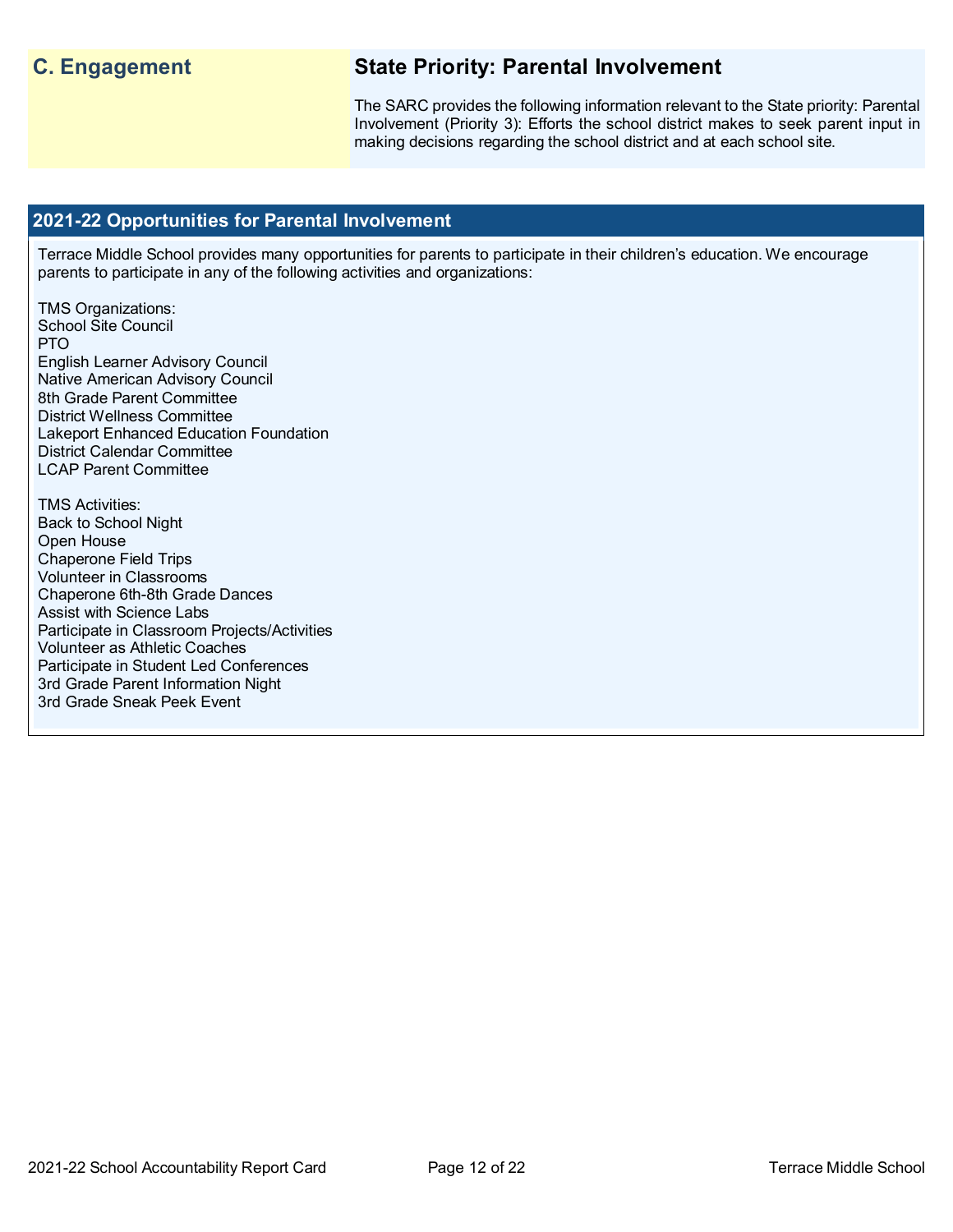## **C. Engagement State Priority: Parental Involvement**

The SARC provides the following information relevant to the State priority: Parental Involvement (Priority 3): Efforts the school district makes to seek parent input in making decisions regarding the school district and at each school site.

#### **2021-22 Opportunities for Parental Involvement**

Terrace Middle School provides many opportunities for parents to participate in their children's education. We encourage parents to participate in any of the following activities and organizations:

TMS Organizations: School Site Council PTO English Learner Advisory Council Native American Advisory Council 8th Grade Parent Committee District Wellness Committee Lakeport Enhanced Education Foundation District Calendar Committee LCAP Parent Committee

TMS Activities: Back to School Night Open House Chaperone Field Trips Volunteer in Classrooms Chaperone 6th-8th Grade Dances Assist with Science Labs Participate in Classroom Projects/Activities Volunteer as Athletic Coaches Participate in Student Led Conferences 3rd Grade Parent Information Night 3rd Grade Sneak Peek Event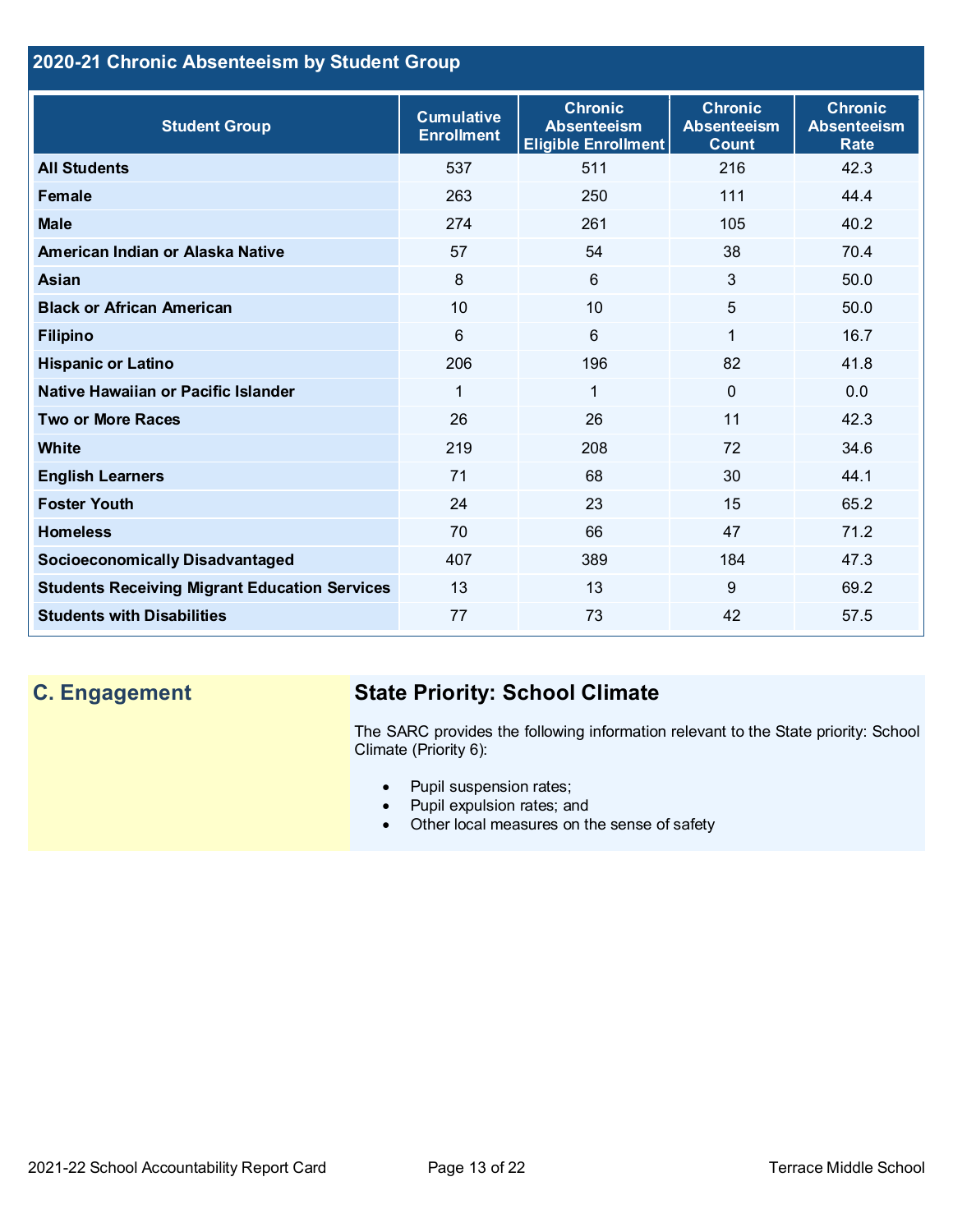## **2020-21 Chronic Absenteeism by Student Group**

| <b>Student Group</b>                                 | <b>Cumulative</b><br><b>Enrollment</b> | <b>Chronic</b><br><b>Absenteeism</b><br><b>Eligible Enrollment</b> | <b>Chronic</b><br><b>Absenteeism</b><br><b>Count</b> | <b>Chronic</b><br><b>Absenteeism</b><br><b>Rate</b> |
|------------------------------------------------------|----------------------------------------|--------------------------------------------------------------------|------------------------------------------------------|-----------------------------------------------------|
| <b>All Students</b>                                  | 537                                    | 511                                                                | 216                                                  | 42.3                                                |
| <b>Female</b>                                        | 263                                    | 250                                                                | 111                                                  | 44.4                                                |
| <b>Male</b>                                          | 274                                    | 261                                                                | 105                                                  | 40.2                                                |
| American Indian or Alaska Native                     | 57                                     | 54                                                                 | 38                                                   | 70.4                                                |
| <b>Asian</b>                                         | 8                                      | $6\phantom{1}$                                                     | 3                                                    | 50.0                                                |
| <b>Black or African American</b>                     | 10                                     | 10                                                                 | 5                                                    | 50.0                                                |
| <b>Filipino</b>                                      | 6                                      | $6\phantom{1}$                                                     | $\mathbf{1}$                                         | 16.7                                                |
| <b>Hispanic or Latino</b>                            | 206                                    | 196                                                                | 82                                                   | 41.8                                                |
| Native Hawaiian or Pacific Islander                  | 1                                      | 1                                                                  | $\mathbf 0$                                          | 0.0                                                 |
| <b>Two or More Races</b>                             | 26                                     | 26                                                                 | 11                                                   | 42.3                                                |
| <b>White</b>                                         | 219                                    | 208                                                                | 72                                                   | 34.6                                                |
| <b>English Learners</b>                              | 71                                     | 68                                                                 | 30                                                   | 44.1                                                |
| <b>Foster Youth</b>                                  | 24                                     | 23                                                                 | 15                                                   | 65.2                                                |
| <b>Homeless</b>                                      | 70                                     | 66                                                                 | 47                                                   | 71.2                                                |
| <b>Socioeconomically Disadvantaged</b>               | 407                                    | 389                                                                | 184                                                  | 47.3                                                |
| <b>Students Receiving Migrant Education Services</b> | 13                                     | 13                                                                 | 9                                                    | 69.2                                                |
| <b>Students with Disabilities</b>                    | 77                                     | 73                                                                 | 42                                                   | 57.5                                                |

## **C. Engagement State Priority: School Climate**

The SARC provides the following information relevant to the State priority: School Climate (Priority 6):

- Pupil suspension rates;
- Pupil expulsion rates; and
- Other local measures on the sense of safety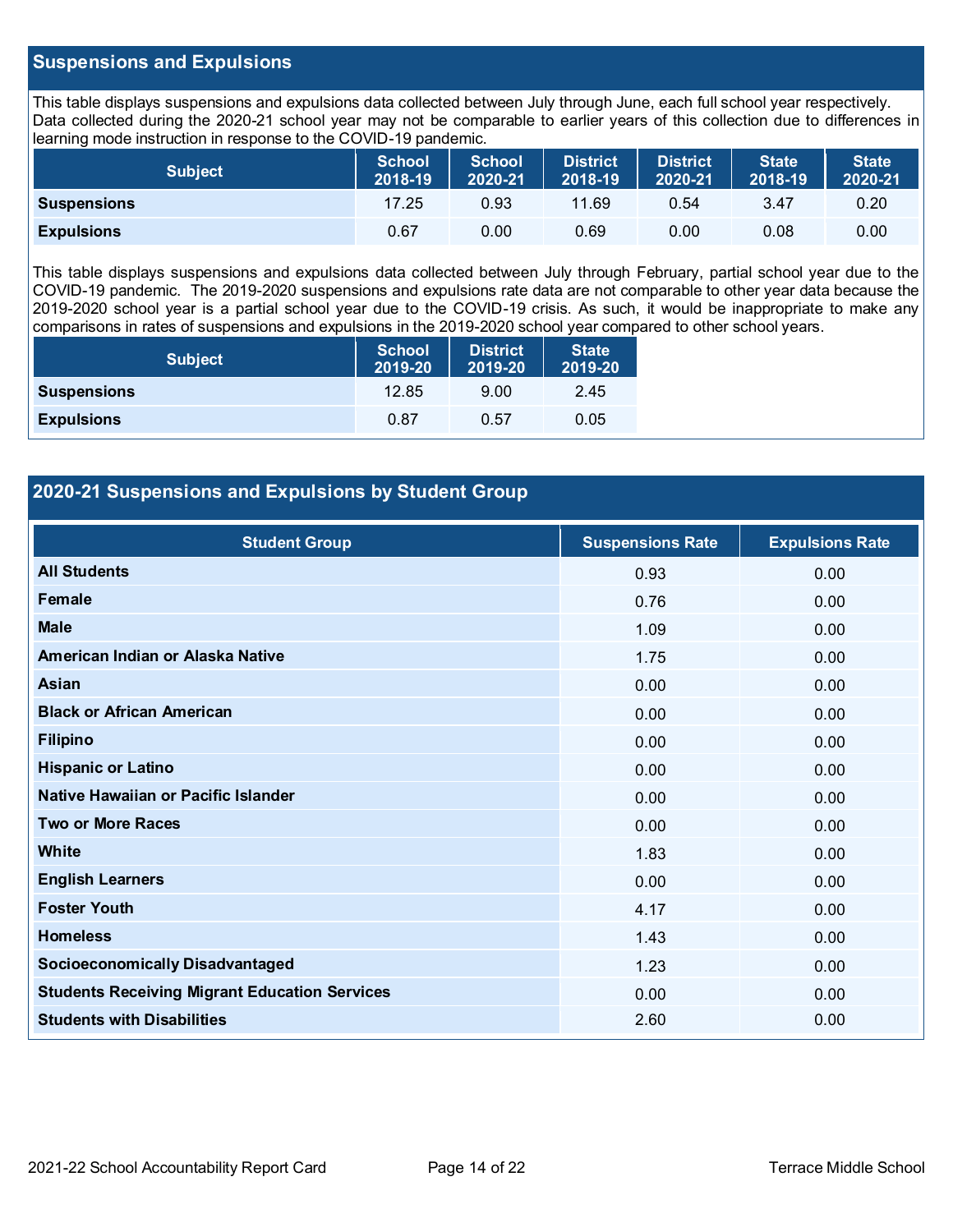#### **Suspensions and Expulsions**

This table displays suspensions and expulsions data collected between July through June, each full school year respectively. Data collected during the 2020-21 school year may not be comparable to earlier years of this collection due to differences in learning mode instruction in response to the COVID-19 pandemic.

| <b>Subject</b>     | <b>School</b><br>2018-19 | <b>School</b><br>2020-21 | <b>District</b><br>2018-19 | District<br>2020-21 | <b>State</b><br>2018-19 | <b>State</b><br>2020-21 |
|--------------------|--------------------------|--------------------------|----------------------------|---------------------|-------------------------|-------------------------|
| <b>Suspensions</b> | 17.25                    | 0.93                     | 11.69                      | 0.54                | 3.47                    | 0.20                    |
| <b>Expulsions</b>  | 0.67                     | 0.00                     | 0.69                       | 0.00                | 0.08                    | 0.00                    |

This table displays suspensions and expulsions data collected between July through February, partial school year due to the COVID-19 pandemic. The 2019-2020 suspensions and expulsions rate data are not comparable to other year data because the 2019-2020 school year is a partial school year due to the COVID-19 crisis. As such, it would be inappropriate to make any comparisons in rates of suspensions and expulsions in the 2019-2020 school year compared to other school years.

| <b>Subject</b>     | <b>School</b><br>2019-20 | <b>District</b><br>2019-20 | <b>State</b><br>2019-20 |
|--------------------|--------------------------|----------------------------|-------------------------|
| <b>Suspensions</b> | 12.85                    | 9.00                       | 2.45                    |
| <b>Expulsions</b>  | 0.87                     | 0.57                       | 0.05                    |

### **2020-21 Suspensions and Expulsions by Student Group**

| <b>Student Group</b>                                 | <b>Suspensions Rate</b> | <b>Expulsions Rate</b> |
|------------------------------------------------------|-------------------------|------------------------|
| <b>All Students</b>                                  | 0.93                    | 0.00                   |
| <b>Female</b>                                        | 0.76                    | 0.00                   |
| <b>Male</b>                                          | 1.09                    | 0.00                   |
| American Indian or Alaska Native                     | 1.75                    | 0.00                   |
| Asian                                                | 0.00                    | 0.00                   |
| <b>Black or African American</b>                     | 0.00                    | 0.00                   |
| <b>Filipino</b>                                      | 0.00                    | 0.00                   |
| <b>Hispanic or Latino</b>                            | 0.00                    | 0.00                   |
| Native Hawaiian or Pacific Islander                  | 0.00                    | 0.00                   |
| <b>Two or More Races</b>                             | 0.00                    | 0.00                   |
| White                                                | 1.83                    | 0.00                   |
| <b>English Learners</b>                              | 0.00                    | 0.00                   |
| <b>Foster Youth</b>                                  | 4.17                    | 0.00                   |
| <b>Homeless</b>                                      | 1.43                    | 0.00                   |
| <b>Socioeconomically Disadvantaged</b>               | 1.23                    | 0.00                   |
| <b>Students Receiving Migrant Education Services</b> | 0.00                    | 0.00                   |
| <b>Students with Disabilities</b>                    | 2.60                    | 0.00                   |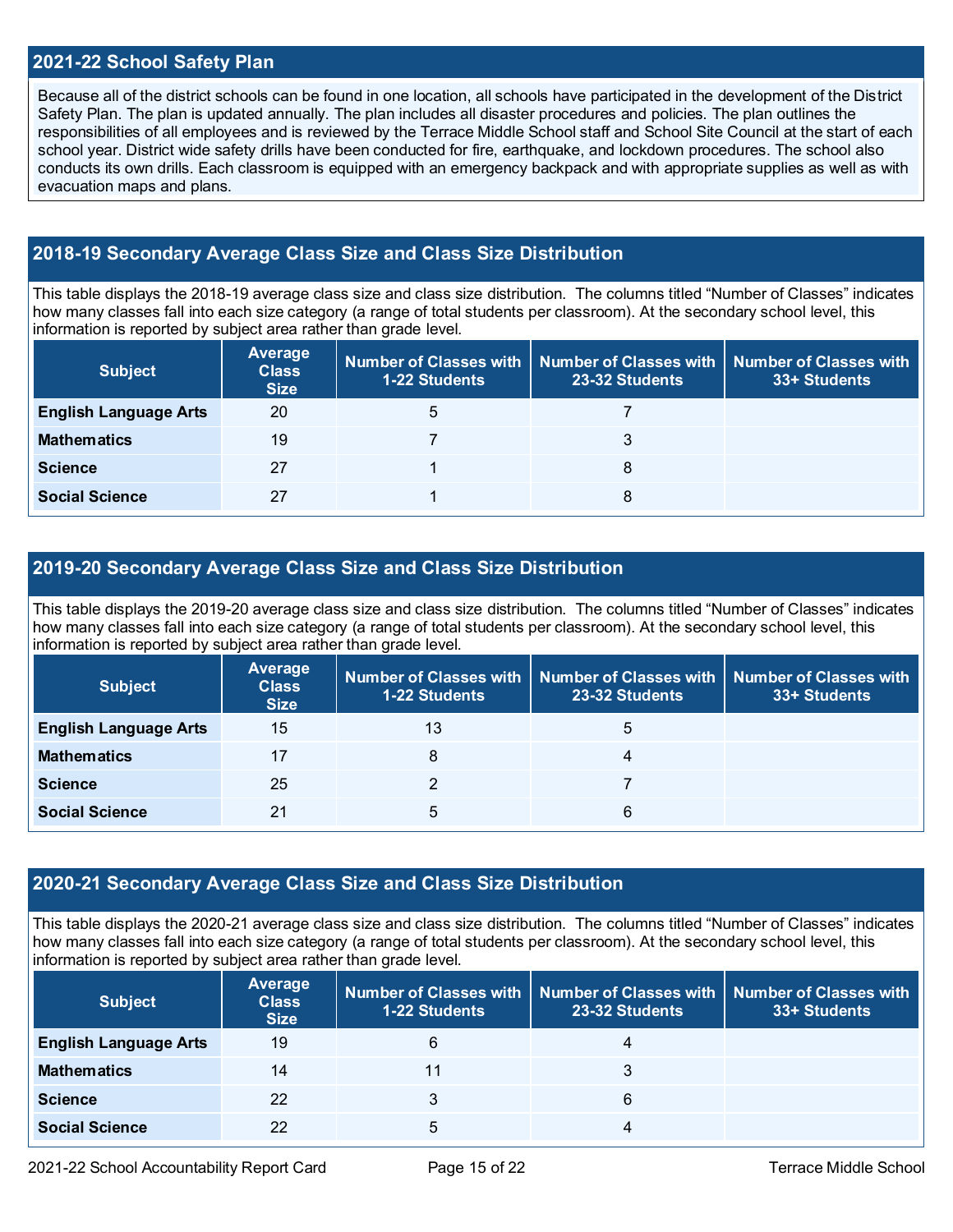#### **2021-22 School Safety Plan**

Because all of the district schools can be found in one location, all schools have participated in the development of the District Safety Plan. The plan is updated annually. The plan includes all disaster procedures and policies. The plan outlines the responsibilities of all employees and is reviewed by the Terrace Middle School staff and School Site Council at the start of each school year. District wide safety drills have been conducted for fire, earthquake, and lockdown procedures. The school also conducts its own drills. Each classroom is equipped with an emergency backpack and with appropriate supplies as well as with evacuation maps and plans.

### **2018-19 Secondary Average Class Size and Class Size Distribution**

This table displays the 2018-19 average class size and class size distribution. The columns titled "Number of Classes" indicates how many classes fall into each size category (a range of total students per classroom). At the secondary school level, this information is reported by subject area rather than grade level.

| <b>Subject</b>               | Average<br><b>Class</b><br><b>Size</b> | 1-22 Students | Number of Classes with   Number of Classes with<br>23-32 Students | <b>Number of Classes with</b><br>33+ Students |
|------------------------------|----------------------------------------|---------------|-------------------------------------------------------------------|-----------------------------------------------|
| <b>English Language Arts</b> | 20                                     | 5             |                                                                   |                                               |
| <b>Mathematics</b>           | 19                                     |               |                                                                   |                                               |
| <b>Science</b>               | 27                                     |               | 8                                                                 |                                               |
| <b>Social Science</b>        | 27                                     |               | 8                                                                 |                                               |

#### **2019-20 Secondary Average Class Size and Class Size Distribution**

This table displays the 2019-20 average class size and class size distribution. The columns titled "Number of Classes" indicates how many classes fall into each size category (a range of total students per classroom). At the secondary school level, this information is reported by subject area rather than grade level.

| <b>Subject</b>               | Average<br><b>Class</b><br><b>Size</b> | <b>1-22 Students</b> | Number of Classes with $\mid$ Number of Classes with $\mid$ Number of Classes with<br>23-32 Students | 33+ Students |
|------------------------------|----------------------------------------|----------------------|------------------------------------------------------------------------------------------------------|--------------|
| <b>English Language Arts</b> | 15                                     | 13                   | 5                                                                                                    |              |
| <b>Mathematics</b>           | 17                                     | 8                    | 4                                                                                                    |              |
| <b>Science</b>               | 25                                     |                      |                                                                                                      |              |
| <b>Social Science</b>        | 21                                     | 5                    | 6                                                                                                    |              |

#### **2020-21 Secondary Average Class Size and Class Size Distribution**

This table displays the 2020-21 average class size and class size distribution. The columns titled "Number of Classes" indicates how many classes fall into each size category (a range of total students per classroom). At the secondary school level, this information is reported by subject area rather than grade level.

| <b>Subject</b>               | Average<br><b>Class</b><br><b>Size</b> | <b>1-22 Students</b> | Number of Classes with   Number of Classes with  <br>23-32 Students | Number of Classes with<br>33+ Students |
|------------------------------|----------------------------------------|----------------------|---------------------------------------------------------------------|----------------------------------------|
| <b>English Language Arts</b> | 19                                     | 6                    | $\overline{4}$                                                      |                                        |
| <b>Mathematics</b>           | 14                                     | 11                   | 3                                                                   |                                        |
| <b>Science</b>               | 22                                     | 3                    | 6                                                                   |                                        |
| <b>Social Science</b>        | 22                                     | 5                    | 4                                                                   |                                        |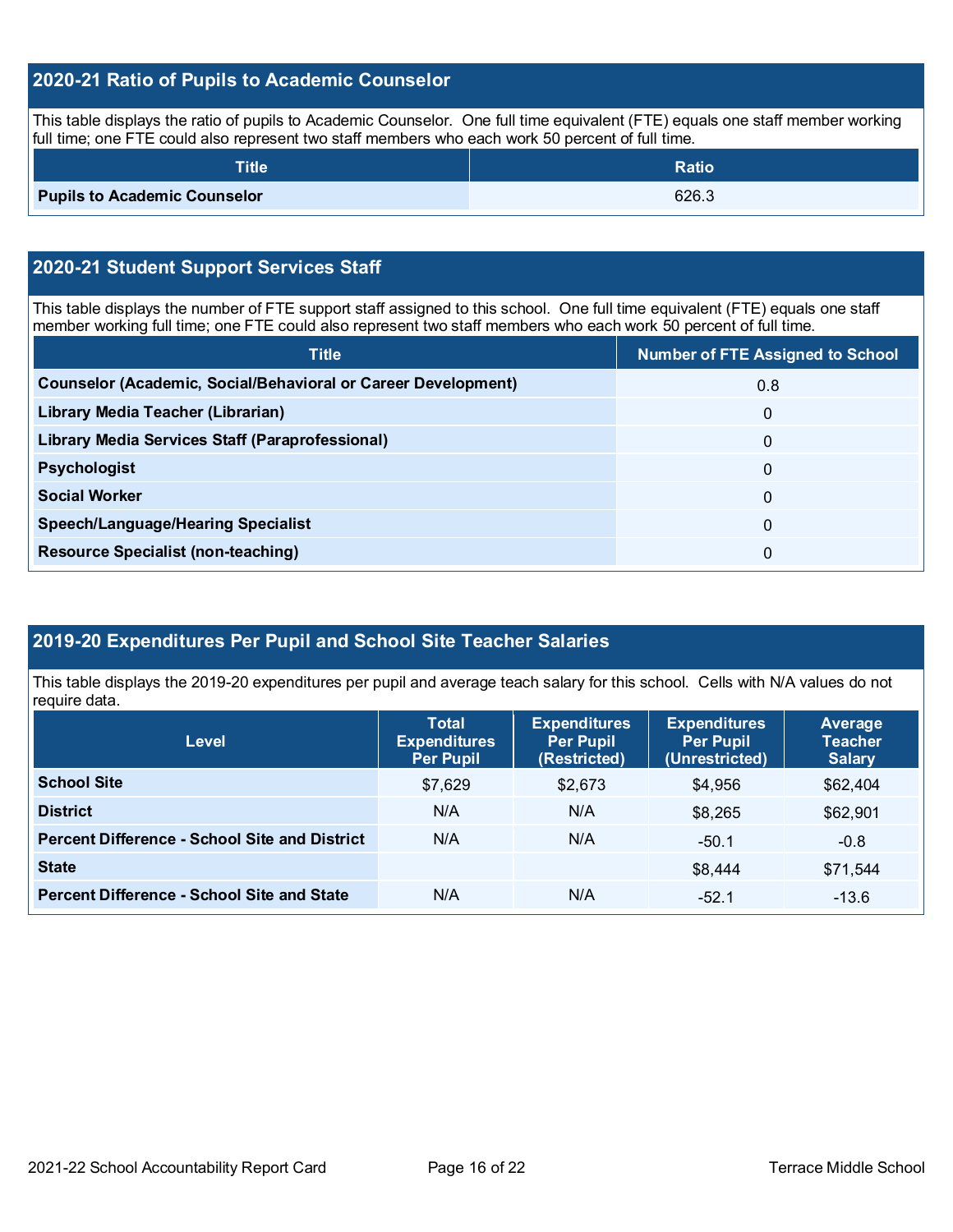## **2020-21 Ratio of Pupils to Academic Counselor**

This table displays the ratio of pupils to Academic Counselor. One full time equivalent (FTE) equals one staff member working full time; one FTE could also represent two staff members who each work 50 percent of full time.

| Title $^{\dagger}$                  | <b>Ratio</b> |
|-------------------------------------|--------------|
| <b>Pupils to Academic Counselor</b> | 626.3        |

### **2020-21 Student Support Services Staff**

This table displays the number of FTE support staff assigned to this school. One full time equivalent (FTE) equals one staff member working full time; one FTE could also represent two staff members who each work 50 percent of full time.

| <b>Title</b>                                                         | <b>Number of FTE Assigned to School</b> |
|----------------------------------------------------------------------|-----------------------------------------|
| <b>Counselor (Academic, Social/Behavioral or Career Development)</b> | 0.8                                     |
| Library Media Teacher (Librarian)                                    | $\mathbf{0}$                            |
| Library Media Services Staff (Paraprofessional)                      | $\Omega$                                |
| <b>Psychologist</b>                                                  | $\mathbf{0}$                            |
| <b>Social Worker</b>                                                 | $\Omega$                                |
| <b>Speech/Language/Hearing Specialist</b>                            | $\mathbf{0}$                            |
| <b>Resource Specialist (non-teaching)</b>                            | $\Omega$                                |

## **2019-20 Expenditures Per Pupil and School Site Teacher Salaries**

This table displays the 2019-20 expenditures per pupil and average teach salary for this school. Cells with N/A values do not require data.

| <b>Level</b>                                         | <b>Total</b><br><b>Expenditures</b><br><b>Per Pupil</b> | <b>Expenditures</b><br><b>Per Pupil</b><br>(Restricted) | <b>Expenditures</b><br><b>Per Pupil</b><br>(Unrestricted) | <b>Average</b><br><b>Teacher</b><br><b>Salary</b> |
|------------------------------------------------------|---------------------------------------------------------|---------------------------------------------------------|-----------------------------------------------------------|---------------------------------------------------|
| <b>School Site</b>                                   | \$7,629                                                 | \$2,673                                                 | \$4,956                                                   | \$62,404                                          |
| <b>District</b>                                      | N/A                                                     | N/A                                                     | \$8,265                                                   | \$62,901                                          |
| <b>Percent Difference - School Site and District</b> | N/A                                                     | N/A                                                     | $-50.1$                                                   | $-0.8$                                            |
| <b>State</b>                                         |                                                         |                                                         | \$8,444                                                   | \$71,544                                          |
| <b>Percent Difference - School Site and State</b>    | N/A                                                     | N/A                                                     | $-52.1$                                                   | $-13.6$                                           |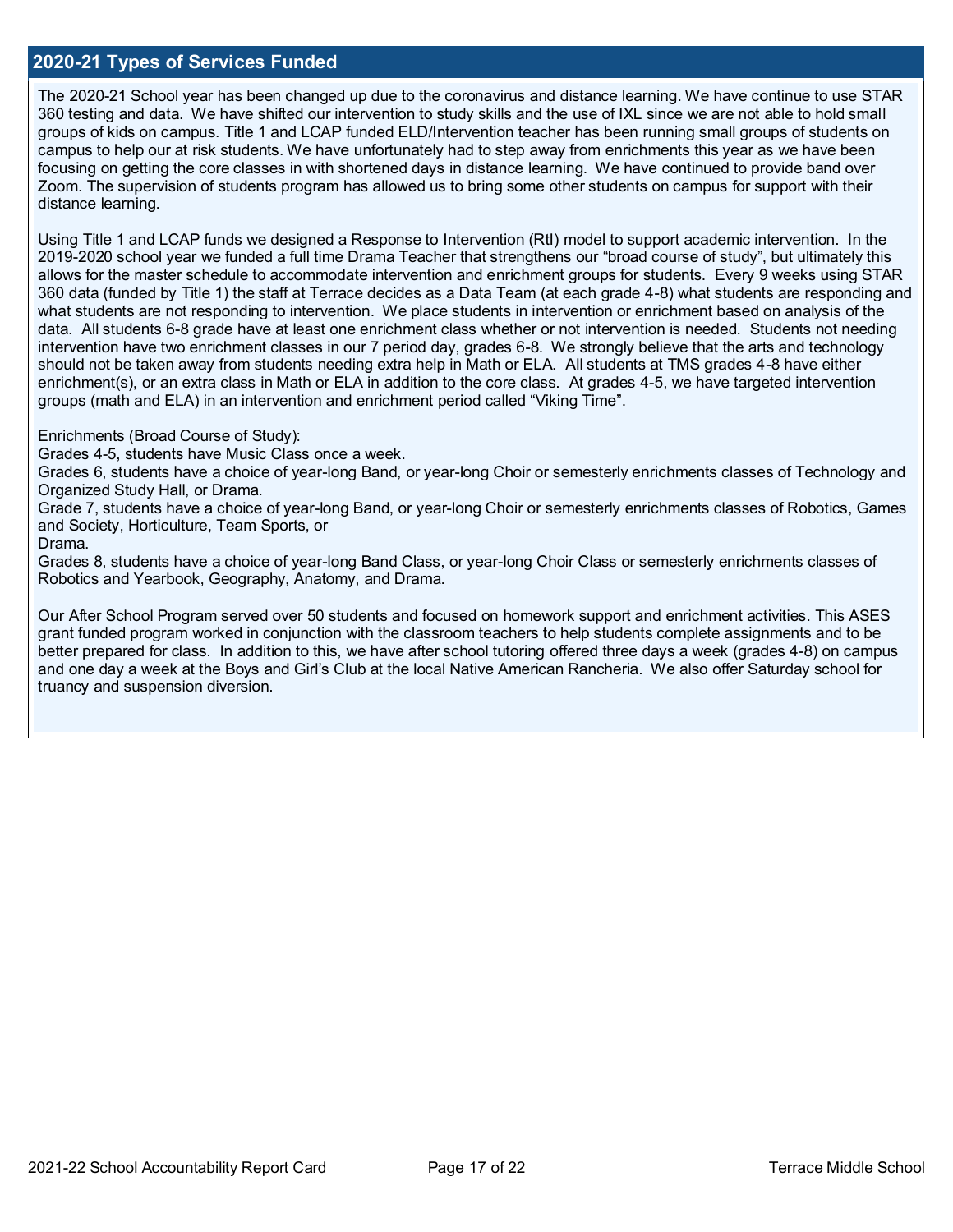#### **2020-21 Types of Services Funded**

The 2020-21 School year has been changed up due to the coronavirus and distance learning. We have continue to use STAR 360 testing and data. We have shifted our intervention to study skills and the use of IXL since we are not able to hold small groups of kids on campus. Title 1 and LCAP funded ELD/Intervention teacher has been running small groups of students on campus to help our at risk students. We have unfortunately had to step away from enrichments this year as we have been focusing on getting the core classes in with shortened days in distance learning. We have continued to provide band over Zoom. The supervision of students program has allowed us to bring some other students on campus for support with their distance learning.

Using Title 1 and LCAP funds we designed a Response to Intervention (RtI) model to support academic intervention. In the 2019-2020 school year we funded a full time Drama Teacher that strengthens our "broad course of study", but ultimately this allows for the master schedule to accommodate intervention and enrichment groups for students. Every 9 weeks using STAR 360 data (funded by Title 1) the staff at Terrace decides as a Data Team (at each grade 4-8) what students are responding and what students are not responding to intervention. We place students in intervention or enrichment based on analysis of the data. All students 6-8 grade have at least one enrichment class whether or not intervention is needed. Students not needing intervention have two enrichment classes in our 7 period day, grades 6-8. We strongly believe that the arts and technology should not be taken away from students needing extra help in Math or ELA. All students at TMS grades 4-8 have either enrichment(s), or an extra class in Math or ELA in addition to the core class. At grades 4-5, we have targeted intervention groups (math and ELA) in an intervention and enrichment period called "Viking Time".

Enrichments (Broad Course of Study):

Grades 4-5, students have Music Class once a week.

Grades 6, students have a choice of year-long Band, or year-long Choir or semesterly enrichments classes of Technology and Organized Study Hall, or Drama.

Grade 7, students have a choice of year-long Band, or year-long Choir or semesterly enrichments classes of Robotics, Games and Society, Horticulture, Team Sports, or

Drama.

Grades 8, students have a choice of year-long Band Class, or year-long Choir Class or semesterly enrichments classes of Robotics and Yearbook, Geography, Anatomy, and Drama.

Our After School Program served over 50 students and focused on homework support and enrichment activities. This ASES grant funded program worked in conjunction with the classroom teachers to help students complete assignments and to be better prepared for class. In addition to this, we have after school tutoring offered three days a week (grades 4-8) on campus and one day a week at the Boys and Girl's Club at the local Native American Rancheria. We also offer Saturday school for truancy and suspension diversion.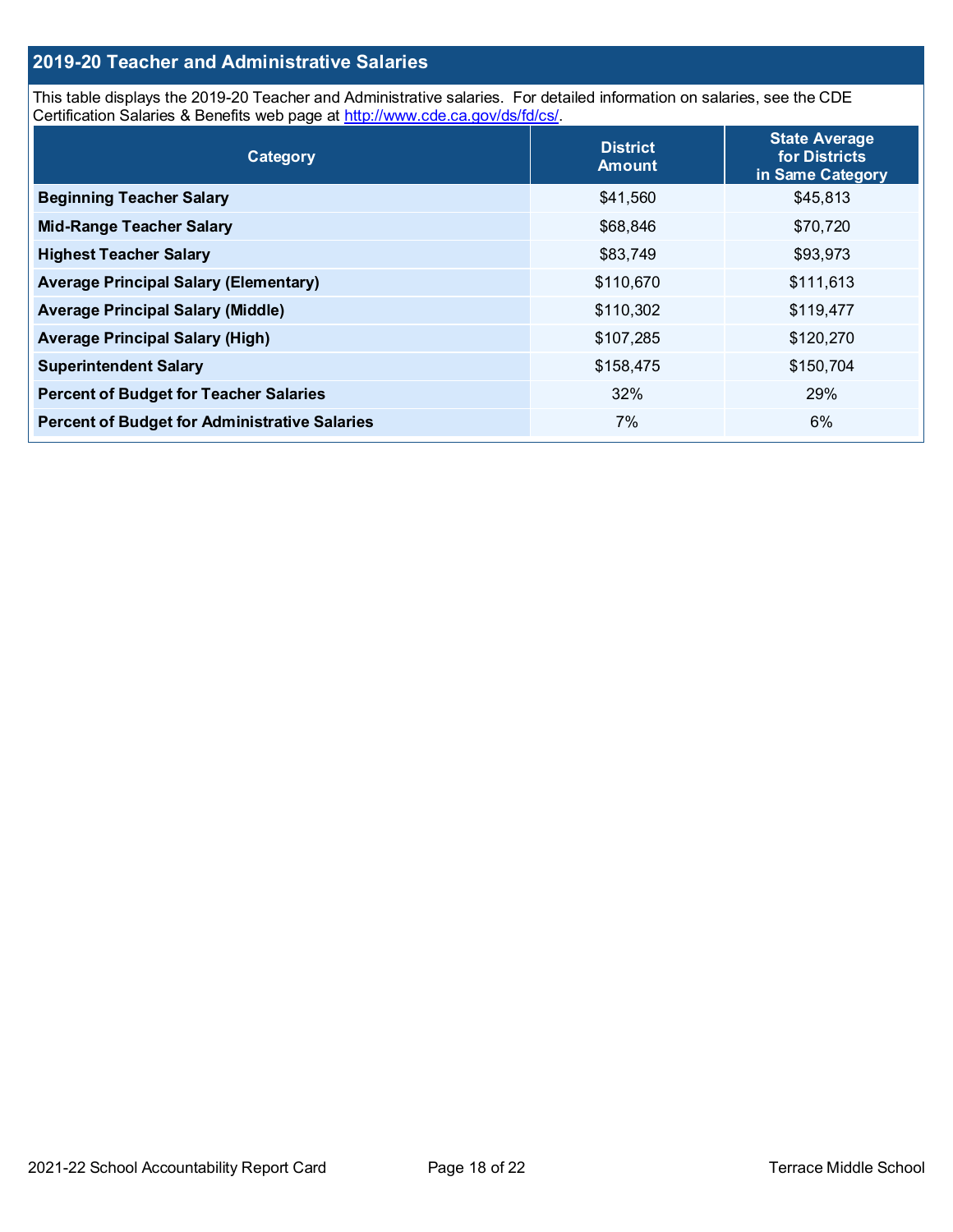## **2019-20 Teacher and Administrative Salaries**

This table displays the 2019-20 Teacher and Administrative salaries. For detailed information on salaries, see the CDE Certification Salaries & Benefits web page at [http://www.cde.ca.gov/ds/fd/cs/.](http://www.cde.ca.gov/ds/fd/cs/)

| Category                                             | <b>District</b><br><b>Amount</b> | <b>State Average</b><br>for Districts<br>in Same Category |
|------------------------------------------------------|----------------------------------|-----------------------------------------------------------|
| <b>Beginning Teacher Salary</b>                      | \$41,560                         | \$45,813                                                  |
| <b>Mid-Range Teacher Salary</b>                      | \$68,846                         | \$70,720                                                  |
| <b>Highest Teacher Salary</b>                        | \$83,749                         | \$93,973                                                  |
| <b>Average Principal Salary (Elementary)</b>         | \$110,670                        | \$111,613                                                 |
| <b>Average Principal Salary (Middle)</b>             | \$110,302                        | \$119,477                                                 |
| <b>Average Principal Salary (High)</b>               | \$107,285                        | \$120,270                                                 |
| <b>Superintendent Salary</b>                         | \$158,475                        | \$150,704                                                 |
| <b>Percent of Budget for Teacher Salaries</b>        | 32%                              | 29%                                                       |
| <b>Percent of Budget for Administrative Salaries</b> | 7%                               | 6%                                                        |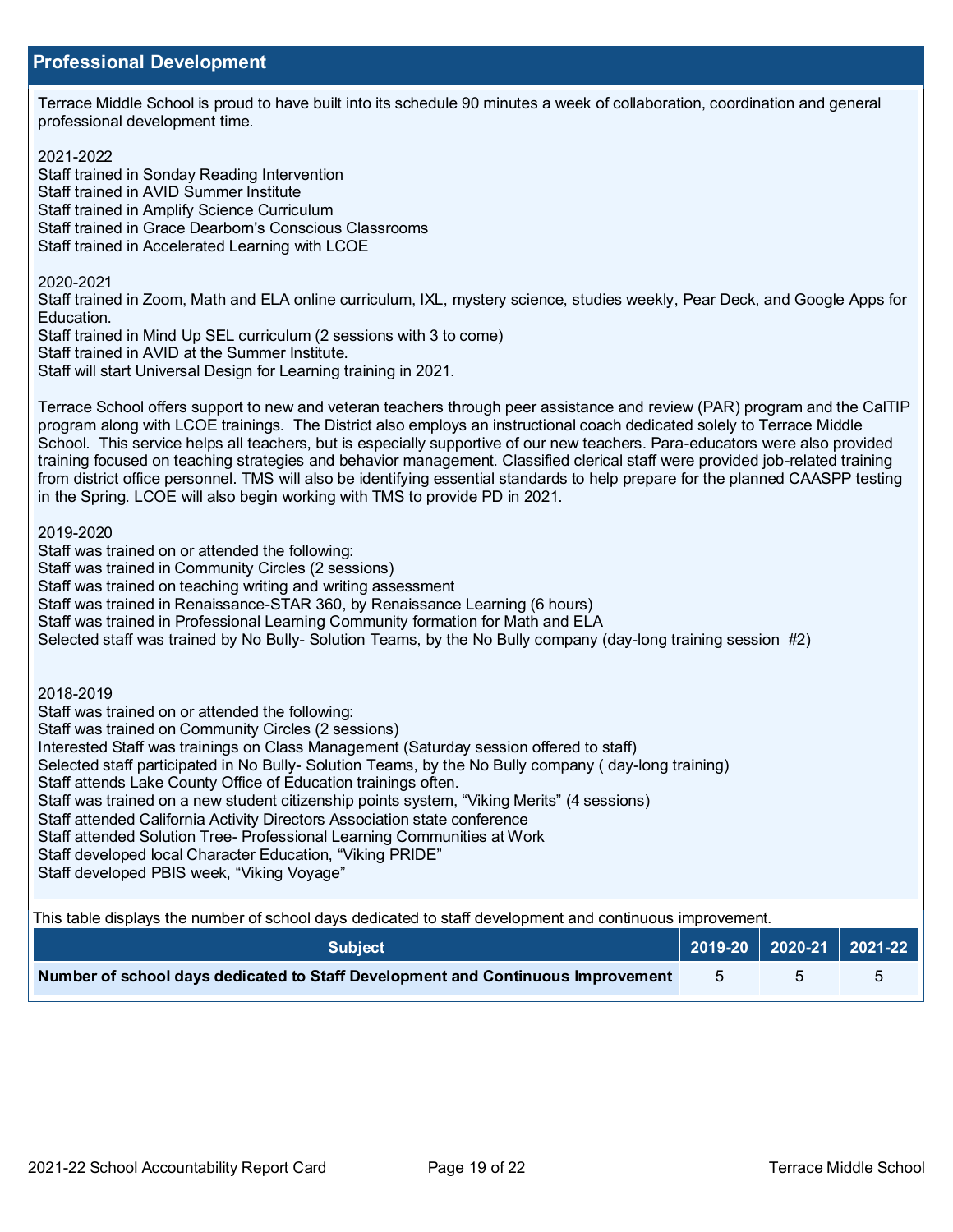Terrace Middle School is proud to have built into its schedule 90 minutes a week of collaboration, coordination and general professional development time.

#### 2021-2022

Staff trained in Sonday Reading Intervention Staff trained in AVID Summer Institute Staff trained in Amplify Science Curriculum Staff trained in Grace Dearborn's Conscious Classrooms Staff trained in Accelerated Learning with LCOE

#### 2020-2021

Staff trained in Zoom, Math and ELA online curriculum, IXL, mystery science, studies weekly, Pear Deck, and Google Apps for Education.

Staff trained in Mind Up SEL curriculum (2 sessions with 3 to come) Staff trained in AVID at the Summer Institute. Staff will start Universal Design for Learning training in 2021.

Terrace School offers support to new and veteran teachers through peer assistance and review (PAR) program and the CalTIP program along with LCOE trainings. The District also employs an instructional coach dedicated solely to Terrace Middle School. This service helps all teachers, but is especially supportive of our new teachers. Para-educators were also provided training focused on teaching strategies and behavior management. Classified clerical staff were provided job-related training from district office personnel. TMS will also be identifying essential standards to help prepare for the planned CAASPP testing in the Spring. LCOE will also begin working with TMS to provide PD in 2021.

2019-2020

Staff was trained on or attended the following:

Staff was trained in Community Circles (2 sessions)

Staff was trained on teaching writing and writing assessment

Staff was trained in Renaissance-STAR 360, by Renaissance Learning (6 hours)

Staff was trained in Professional Learning Community formation for Math and ELA

Selected staff was trained by No Bully- Solution Teams, by the No Bully company (day-long training session #2)

2018-2019

Staff was trained on or attended the following:

Staff was trained on Community Circles (2 sessions)

Interested Staff was trainings on Class Management (Saturday session offered to staff)

Selected staff participated in No Bully- Solution Teams, by the No Bully company ( day-long training)

Staff attends Lake County Office of Education trainings often.

Staff was trained on a new student citizenship points system, "Viking Merits" (4 sessions)

Staff attended California Activity Directors Association state conference

Staff attended Solution Tree- Professional Learning Communities at Work

Staff developed local Character Education, "Viking PRIDE"

Staff developed PBIS week, "Viking Voyage"

This table displays the number of school days dedicated to staff development and continuous improvement.

| <b>Subiect</b>                                                                  |  | $\vert$ 2019-20 $\vert$ 2020-21 $\vert$ 2021-22 $\vert$ |
|---------------------------------------------------------------------------------|--|---------------------------------------------------------|
| Number of school days dedicated to Staff Development and Continuous Improvement |  |                                                         |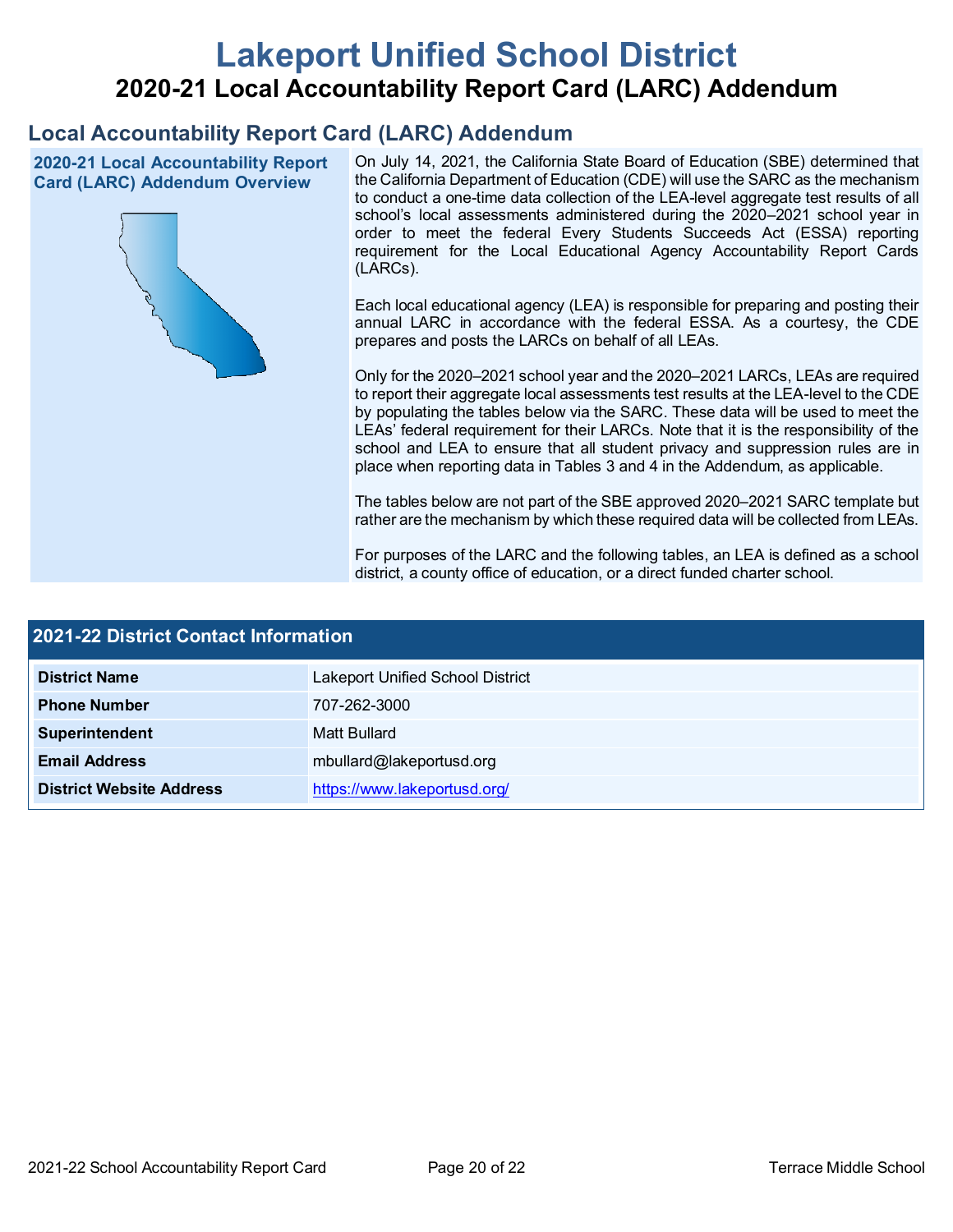# **Lakeport Unified School District 2020-21 Local Accountability Report Card (LARC) Addendum**

## **Local Accountability Report Card (LARC) Addendum**

**2020-21 Local Accountability Report Card (LARC) Addendum Overview**



On July 14, 2021, the California State Board of Education (SBE) determined that the California Department of Education (CDE) will use the SARC as the mechanism to conduct a one-time data collection of the LEA-level aggregate test results of all school's local assessments administered during the 2020–2021 school year in order to meet the federal Every Students Succeeds Act (ESSA) reporting requirement for the Local Educational Agency Accountability Report Cards (LARCs).

Each local educational agency (LEA) is responsible for preparing and posting their annual LARC in accordance with the federal ESSA. As a courtesy, the CDE prepares and posts the LARCs on behalf of all LEAs.

Only for the 2020–2021 school year and the 2020–2021 LARCs, LEAs are required to report their aggregate local assessments test results at the LEA-level to the CDE by populating the tables below via the SARC. These data will be used to meet the LEAs' federal requirement for their LARCs. Note that it is the responsibility of the school and LEA to ensure that all student privacy and suppression rules are in place when reporting data in Tables 3 and 4 in the Addendum, as applicable.

The tables below are not part of the SBE approved 2020–2021 SARC template but rather are the mechanism by which these required data will be collected from LEAs.

For purposes of the LARC and the following tables, an LEA is defined as a school district, a county office of education, or a direct funded charter school.

| <b>2021-22 District Contact Information</b> |                                         |  |  |
|---------------------------------------------|-----------------------------------------|--|--|
| <b>District Name</b>                        | <b>Lakeport Unified School District</b> |  |  |
| <b>Phone Number</b>                         | 707-262-3000                            |  |  |
| Superintendent                              | Matt Bullard                            |  |  |
| <b>Email Address</b>                        | mbullard@lakeportusd.org                |  |  |
| <b>District Website Address</b>             | https://www.lakeportusd.org/            |  |  |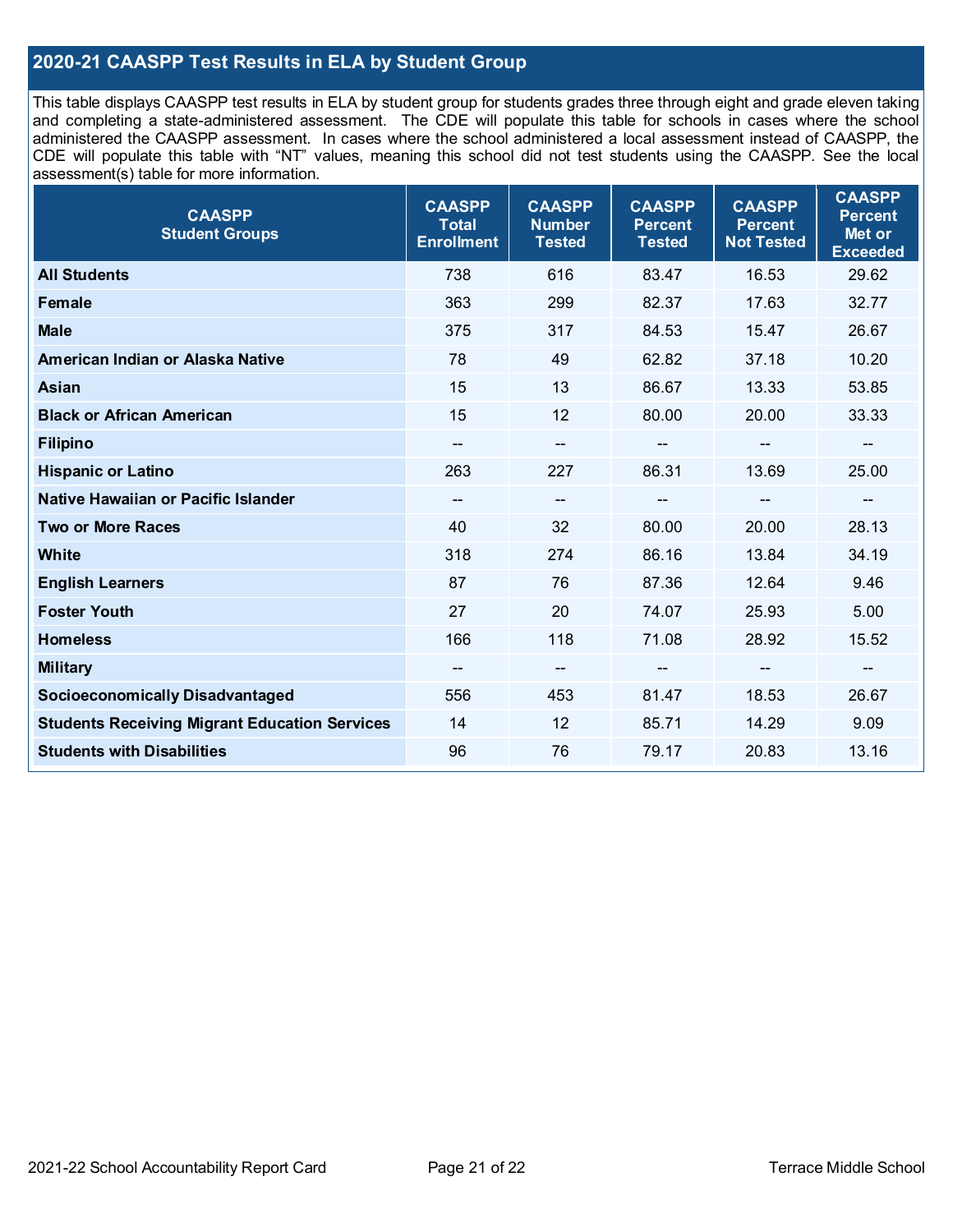## **2020-21 CAASPP Test Results in ELA by Student Group**

This table displays CAASPP test results in ELA by student group for students grades three through eight and grade eleven taking and completing a state-administered assessment. The CDE will populate this table for schools in cases where the school administered the CAASPP assessment. In cases where the school administered a local assessment instead of CAASPP, the CDE will populate this table with "NT" values, meaning this school did not test students using the CAASPP. See the local assessment(s) table for more information.

| <b>CAASPP</b><br><b>Student Groups</b>               | <b>CAASPP</b><br><b>Total</b><br><b>Enrollment</b> | <b>CAASPP</b><br><b>Number</b><br><b>Tested</b> | <b>CAASPP</b><br><b>Percent</b><br><b>Tested</b> | <b>CAASPP</b><br><b>Percent</b><br><b>Not Tested</b> | <b>CAASPP</b><br><b>Percent</b><br>Met or<br><b>Exceeded</b> |
|------------------------------------------------------|----------------------------------------------------|-------------------------------------------------|--------------------------------------------------|------------------------------------------------------|--------------------------------------------------------------|
| <b>All Students</b>                                  | 738                                                | 616                                             | 83.47                                            | 16.53                                                | 29.62                                                        |
| Female                                               | 363                                                | 299                                             | 82.37                                            | 17.63                                                | 32.77                                                        |
| <b>Male</b>                                          | 375                                                | 317                                             | 84.53                                            | 15.47                                                | 26.67                                                        |
| American Indian or Alaska Native                     | 78                                                 | 49                                              | 62.82                                            | 37.18                                                | 10.20                                                        |
| Asian                                                | 15                                                 | 13                                              | 86.67                                            | 13.33                                                | 53.85                                                        |
| <b>Black or African American</b>                     | 15                                                 | 12                                              | 80.00                                            | 20.00                                                | 33.33                                                        |
| <b>Filipino</b>                                      | $\overline{\phantom{a}}$                           | --                                              | --                                               | $\qquad \qquad \blacksquare$                         | $\overline{\phantom{m}}$                                     |
| <b>Hispanic or Latino</b>                            | 263                                                | 227                                             | 86.31                                            | 13.69                                                | 25.00                                                        |
| Native Hawaiian or Pacific Islander                  | $\overline{\phantom{a}}$                           | --                                              | $-$                                              | --                                                   | --                                                           |
| <b>Two or More Races</b>                             | 40                                                 | 32                                              | 80.00                                            | 20.00                                                | 28.13                                                        |
| <b>White</b>                                         | 318                                                | 274                                             | 86.16                                            | 13.84                                                | 34.19                                                        |
| <b>English Learners</b>                              | 87                                                 | 76                                              | 87.36                                            | 12.64                                                | 9.46                                                         |
| <b>Foster Youth</b>                                  | 27                                                 | 20                                              | 74.07                                            | 25.93                                                | 5.00                                                         |
| <b>Homeless</b>                                      | 166                                                | 118                                             | 71.08                                            | 28.92                                                | 15.52                                                        |
| <b>Military</b>                                      |                                                    | $-$                                             |                                                  | --                                                   | --                                                           |
| <b>Socioeconomically Disadvantaged</b>               | 556                                                | 453                                             | 81.47                                            | 18.53                                                | 26.67                                                        |
| <b>Students Receiving Migrant Education Services</b> | 14                                                 | 12                                              | 85.71                                            | 14.29                                                | 9.09                                                         |
| <b>Students with Disabilities</b>                    | 96                                                 | 76                                              | 79.17                                            | 20.83                                                | 13.16                                                        |